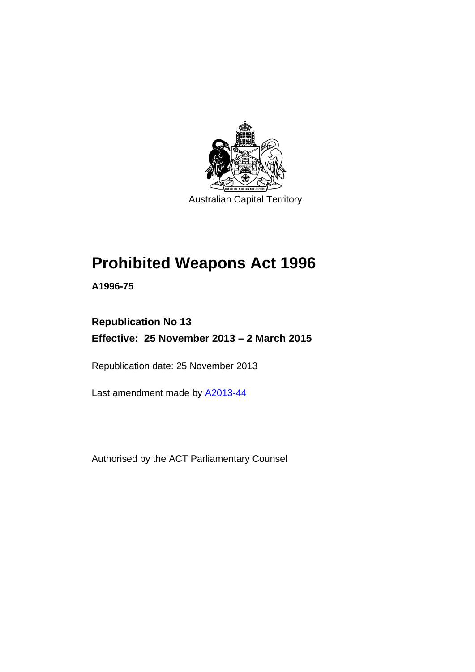

Australian Capital Territory

# **Prohibited Weapons Act 1996**

**A1996-75** 

**Republication No 13 Effective: 25 November 2013 – 2 March 2015** 

Republication date: 25 November 2013

Last amendment made by [A2013-44](http://www.legislation.act.gov.au/a/2013-44)

Authorised by the ACT Parliamentary Counsel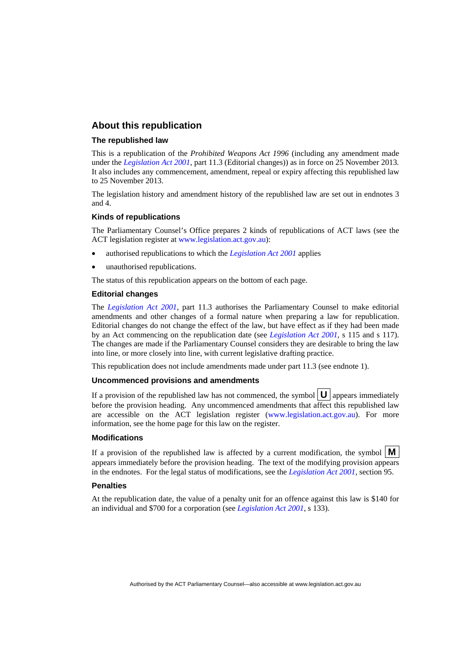#### **About this republication**

#### **The republished law**

This is a republication of the *Prohibited Weapons Act 1996* (including any amendment made under the *[Legislation Act 2001](http://www.legislation.act.gov.au/a/2001-14)*, part 11.3 (Editorial changes)) as in force on 25 November 2013*.*  It also includes any commencement, amendment, repeal or expiry affecting this republished law to 25 November 2013.

The legislation history and amendment history of the republished law are set out in endnotes 3 and 4.

#### **Kinds of republications**

The Parliamentary Counsel's Office prepares 2 kinds of republications of ACT laws (see the ACT legislation register at [www.legislation.act.gov.au](http://www.legislation.act.gov.au/)):

- authorised republications to which the *[Legislation Act 2001](http://www.legislation.act.gov.au/a/2001-14)* applies
- unauthorised republications.

The status of this republication appears on the bottom of each page.

#### **Editorial changes**

The *[Legislation Act 2001](http://www.legislation.act.gov.au/a/2001-14)*, part 11.3 authorises the Parliamentary Counsel to make editorial amendments and other changes of a formal nature when preparing a law for republication. Editorial changes do not change the effect of the law, but have effect as if they had been made by an Act commencing on the republication date (see *[Legislation Act 2001](http://www.legislation.act.gov.au/a/2001-14)*, s 115 and s 117). The changes are made if the Parliamentary Counsel considers they are desirable to bring the law into line, or more closely into line, with current legislative drafting practice.

This republication does not include amendments made under part 11.3 (see endnote 1).

#### **Uncommenced provisions and amendments**

If a provision of the republished law has not commenced, the symbol  $\mathbf{U}$  appears immediately before the provision heading. Any uncommenced amendments that affect this republished law are accessible on the ACT legislation register [\(www.legislation.act.gov.au\)](http://www.legislation.act.gov.au/). For more information, see the home page for this law on the register.

#### **Modifications**

If a provision of the republished law is affected by a current modification, the symbol  $\mathbf{M}$ appears immediately before the provision heading. The text of the modifying provision appears in the endnotes. For the legal status of modifications, see the *[Legislation Act 2001](http://www.legislation.act.gov.au/a/2001-14)*, section 95.

#### **Penalties**

At the republication date, the value of a penalty unit for an offence against this law is \$140 for an individual and \$700 for a corporation (see *[Legislation Act 2001](http://www.legislation.act.gov.au/a/2001-14)*, s 133).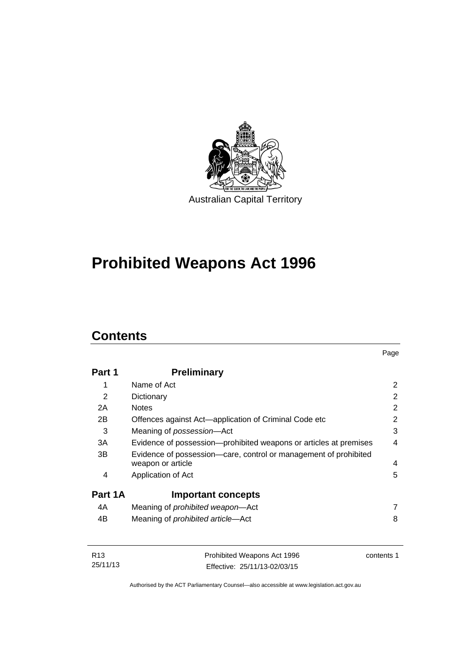

# **Prohibited Weapons Act 1996**

## **Contents**

| Part 1  | <b>Preliminary</b>                                                                    |   |
|---------|---------------------------------------------------------------------------------------|---|
| 1       | Name of Act                                                                           | 2 |
| 2       | Dictionary                                                                            | 2 |
| 2A      | <b>Notes</b>                                                                          | 2 |
| 2Β      | Offences against Act-application of Criminal Code etc                                 | 2 |
| 3       | Meaning of possession-Act                                                             | 3 |
| 3A      | Evidence of possession—prohibited weapons or articles at premises                     | 4 |
| 3B      | Evidence of possession—care, control or management of prohibited<br>weapon or article | 4 |
| 4       | Application of Act                                                                    | 5 |
| Part 1A | <b>Important concepts</b>                                                             |   |
| 4A      | Meaning of <i>prohibited</i> weapon-Act                                               | 7 |
| 4B      | Meaning of <i>prohibited</i> article-Act                                              | 8 |

| R13      | Prohibited Weapons Act 1996  | contents 1 |
|----------|------------------------------|------------|
| 25/11/13 | Effective: 25/11/13-02/03/15 |            |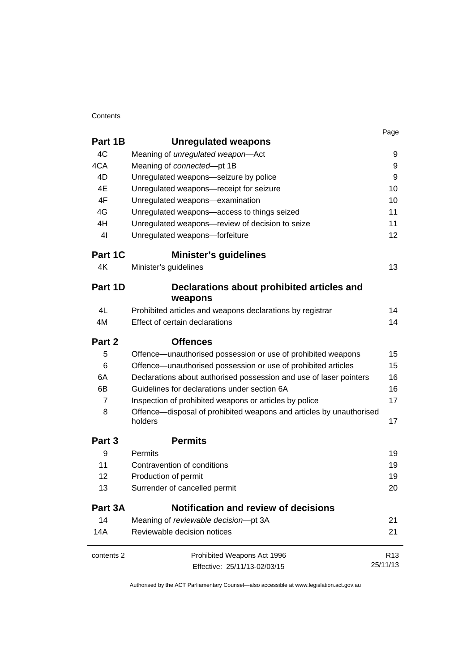#### **Contents**

|                   |                                                                                | Page            |
|-------------------|--------------------------------------------------------------------------------|-----------------|
| Part 1B           | <b>Unregulated weapons</b>                                                     |                 |
| 4C                | Meaning of unregulated weapon-Act                                              | 9               |
| 4CA               | Meaning of connected-pt 1B                                                     | 9               |
| 4D                | Unregulated weapons-seizure by police                                          | 9               |
| 4E                | Unregulated weapons-receipt for seizure                                        | 10              |
| 4F                | Unregulated weapons-examination                                                | 10              |
| 4G                | Unregulated weapons-access to things seized                                    | 11              |
| 4H                | Unregulated weapons-review of decision to seize                                | 11              |
| 4 <sub>l</sub>    | Unregulated weapons-forfeiture                                                 | 12              |
| Part 1C           | <b>Minister's guidelines</b>                                                   |                 |
| 4K                | Minister's guidelines                                                          | 13              |
| Part 1D           | Declarations about prohibited articles and                                     |                 |
|                   | weapons                                                                        |                 |
| 4L                | Prohibited articles and weapons declarations by registrar                      | 14              |
| 4M                | Effect of certain declarations                                                 | 14              |
| Part 2            | <b>Offences</b>                                                                |                 |
| 5                 | Offence-unauthorised possession or use of prohibited weapons                   | 15              |
| 6                 | Offence-unauthorised possession or use of prohibited articles                  | 15              |
| 6A                | Declarations about authorised possession and use of laser pointers             | 16              |
| 6B                | Guidelines for declarations under section 6A                                   | 16              |
| $\overline{7}$    | Inspection of prohibited weapons or articles by police                         | 17              |
| 8                 | Offence—disposal of prohibited weapons and articles by unauthorised<br>holders | 17              |
| Part <sub>3</sub> | <b>Permits</b>                                                                 |                 |
| 9                 | Permits                                                                        | 19              |
| 11                | Contravention of conditions                                                    | 19              |
| 12                | Production of permit                                                           | 19              |
| 13                | Surrender of cancelled permit                                                  | 20              |
| Part 3A           | Notification and review of decisions                                           |                 |
| 14                | Meaning of reviewable decision-pt 3A                                           | 21              |
| 14A               | Reviewable decision notices                                                    | 21              |
| contents 2        | Prohibited Weapons Act 1996                                                    | R <sub>13</sub> |
|                   | Effective: 25/11/13-02/03/15                                                   | 25/11/13        |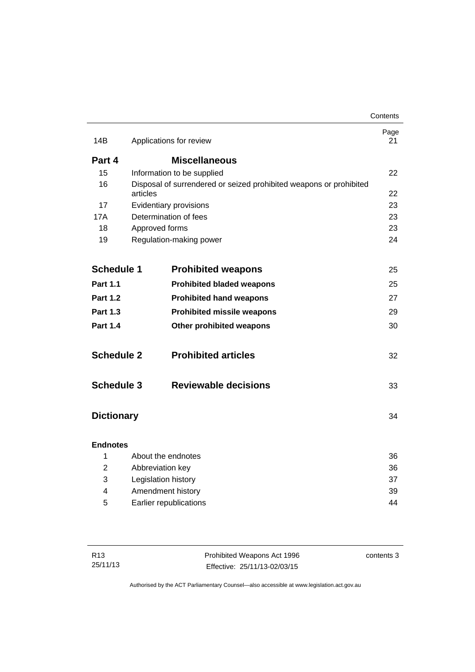|                   |                     |                                                                    | Contents   |
|-------------------|---------------------|--------------------------------------------------------------------|------------|
| 14B               |                     | Applications for review                                            | Page<br>21 |
| Part 4            |                     | <b>Miscellaneous</b>                                               |            |
| 15                |                     | Information to be supplied                                         | 22         |
| 16                |                     | Disposal of surrendered or seized prohibited weapons or prohibited |            |
|                   | articles            |                                                                    | 22         |
| 17                |                     | Evidentiary provisions                                             | 23         |
| 17A               |                     | Determination of fees                                              | 23         |
| 18                | Approved forms      |                                                                    | 23         |
| 19                |                     | Regulation-making power                                            | 24         |
|                   |                     |                                                                    |            |
| <b>Schedule 1</b> |                     | <b>Prohibited weapons</b>                                          | 25         |
| <b>Part 1.1</b>   |                     | <b>Prohibited bladed weapons</b>                                   | 25         |
| <b>Part 1.2</b>   |                     | <b>Prohibited hand weapons</b>                                     | 27         |
| <b>Part 1.3</b>   |                     | <b>Prohibited missile weapons</b>                                  | 29         |
| <b>Part 1.4</b>   |                     | Other prohibited weapons                                           | 30         |
| <b>Schedule 2</b> |                     | <b>Prohibited articles</b>                                         | 32         |
| <b>Schedule 3</b> |                     | <b>Reviewable decisions</b>                                        | 33         |
| <b>Dictionary</b> |                     |                                                                    | 34         |
| <b>Endnotes</b>   |                     |                                                                    |            |
| 1                 |                     | About the endnotes                                                 | 36         |
| 2                 | Abbreviation key    |                                                                    | 36         |
| 3                 | Legislation history |                                                                    | 37         |
| 4                 |                     | Amendment history                                                  | 39         |
| 5                 |                     | Earlier republications                                             | 44         |
|                   |                     |                                                                    |            |

| R13      | Prohibited Weapons Act 1996  | contents 3 |
|----------|------------------------------|------------|
| 25/11/13 | Effective: 25/11/13-02/03/15 |            |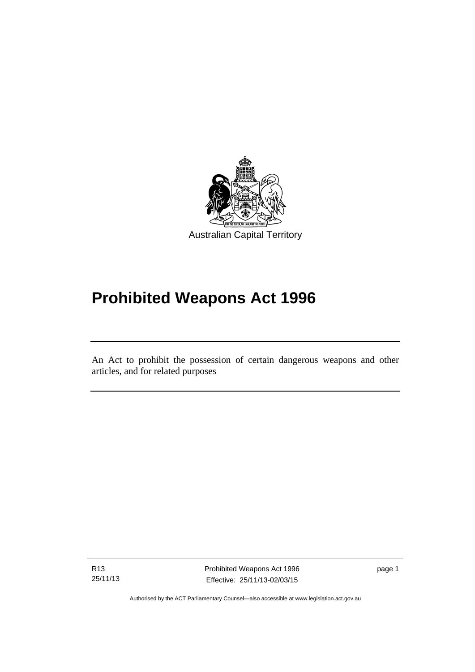

## **Prohibited Weapons Act 1996**

An Act to prohibit the possession of certain dangerous weapons and other articles, and for related purposes

R13 25/11/13

l

Prohibited Weapons Act 1996 Effective: 25/11/13-02/03/15

page 1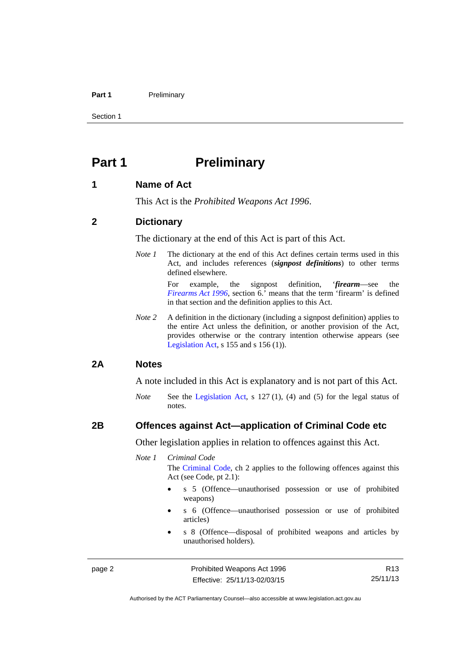#### Part 1 **Preliminary**

Section 1

## <span id="page-7-0"></span>**Part 1** Preliminary

#### <span id="page-7-1"></span>**1 Name of Act**

This Act is the *Prohibited Weapons Act 1996*.

#### <span id="page-7-2"></span>**2 Dictionary**

The dictionary at the end of this Act is part of this Act.

*Note 1* The dictionary at the end of this Act defines certain terms used in this Act, and includes references (*signpost definitions*) to other terms defined elsewhere.

> For example, the signpost definition, '*firearm*—see the *[Firearms Act 1996](http://www.legislation.act.gov.au/a/1996-74)*, section 6.' means that the term 'firearm' is defined in that section and the definition applies to this Act.

*Note 2* A definition in the dictionary (including a signpost definition) applies to the entire Act unless the definition, or another provision of the Act, provides otherwise or the contrary intention otherwise appears (see [Legislation Act,](http://www.legislation.act.gov.au/a/2001-14) s 155 and s 156 (1)).

#### <span id="page-7-3"></span>**2A Notes**

A note included in this Act is explanatory and is not part of this Act.

*Note* See the [Legislation Act,](http://www.legislation.act.gov.au/a/2001-14) s 127 (1), (4) and (5) for the legal status of notes.

### <span id="page-7-4"></span>**2B Offences against Act—application of Criminal Code etc**

Other legislation applies in relation to offences against this Act.

*Note 1 Criminal Code*

The [Criminal Code](http://www.legislation.act.gov.au/a/2002-51), ch 2 applies to the following offences against this Act (see Code, pt 2.1):

- s 5 (Offence—unauthorised possession or use of prohibited weapons)
- s 6 (Offence—unauthorised possession or use of prohibited articles)
- s 8 (Offence—disposal of prohibited weapons and articles by unauthorised holders).

page 2 **Prohibited Weapons Act 1996** Effective: 25/11/13-02/03/15

R13 25/11/13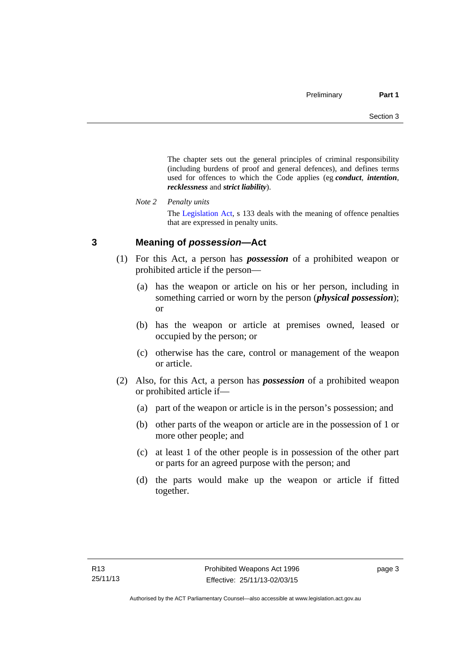The chapter sets out the general principles of criminal responsibility (including burdens of proof and general defences), and defines terms used for offences to which the Code applies (eg *conduct*, *intention*, *recklessness* and *strict liability*).

*Note 2 Penalty units* 

The [Legislation Act](http://www.legislation.act.gov.au/a/2001-14), s 133 deals with the meaning of offence penalties that are expressed in penalty units.

## <span id="page-8-0"></span>**3 Meaning of** *possession***—Act**

- (1) For this Act, a person has *possession* of a prohibited weapon or prohibited article if the person—
	- (a) has the weapon or article on his or her person, including in something carried or worn by the person (*physical possession*); or
	- (b) has the weapon or article at premises owned, leased or occupied by the person; or
	- (c) otherwise has the care, control or management of the weapon or article.
- (2) Also, for this Act, a person has *possession* of a prohibited weapon or prohibited article if—
	- (a) part of the weapon or article is in the person's possession; and
	- (b) other parts of the weapon or article are in the possession of 1 or more other people; and
	- (c) at least 1 of the other people is in possession of the other part or parts for an agreed purpose with the person; and
	- (d) the parts would make up the weapon or article if fitted together.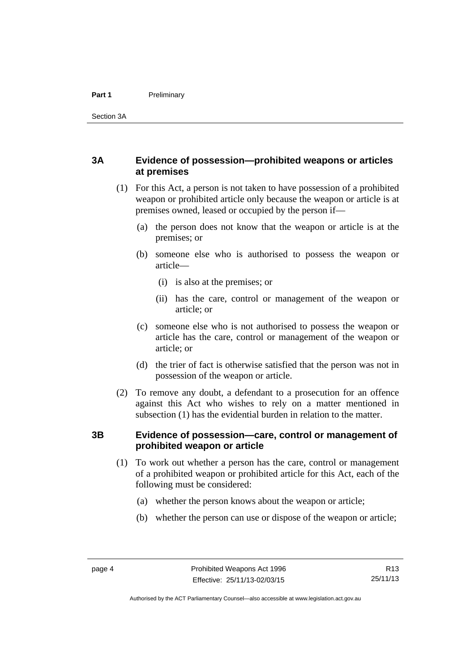### <span id="page-9-0"></span>**3A Evidence of possession—prohibited weapons or articles at premises**

- (1) For this Act, a person is not taken to have possession of a prohibited weapon or prohibited article only because the weapon or article is at premises owned, leased or occupied by the person if—
	- (a) the person does not know that the weapon or article is at the premises; or
	- (b) someone else who is authorised to possess the weapon or article—
		- (i) is also at the premises; or
		- (ii) has the care, control or management of the weapon or article; or
	- (c) someone else who is not authorised to possess the weapon or article has the care, control or management of the weapon or article; or
	- (d) the trier of fact is otherwise satisfied that the person was not in possession of the weapon or article.
- (2) To remove any doubt, a defendant to a prosecution for an offence against this Act who wishes to rely on a matter mentioned in subsection (1) has the evidential burden in relation to the matter.

### <span id="page-9-1"></span>**3B Evidence of possession—care, control or management of prohibited weapon or article**

- (1) To work out whether a person has the care, control or management of a prohibited weapon or prohibited article for this Act, each of the following must be considered:
	- (a) whether the person knows about the weapon or article;
	- (b) whether the person can use or dispose of the weapon or article;

Authorised by the ACT Parliamentary Counsel—also accessible at www.legislation.act.gov.au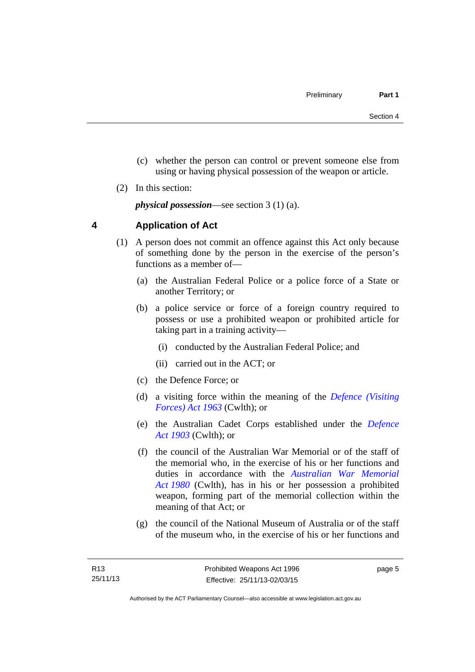- (c) whether the person can control or prevent someone else from using or having physical possession of the weapon or article.
- (2) In this section:

*physical possession*—see section 3 (1) (a).

## <span id="page-10-0"></span>**4 Application of Act**

- (1) A person does not commit an offence against this Act only because of something done by the person in the exercise of the person's functions as a member of—
	- (a) the Australian Federal Police or a police force of a State or another Territory; or
	- (b) a police service or force of a foreign country required to possess or use a prohibited weapon or prohibited article for taking part in a training activity—
		- (i) conducted by the Australian Federal Police; and
		- (ii) carried out in the ACT; or
	- (c) the Defence Force; or
	- (d) a visiting force within the meaning of the *[Defence \(Visiting](http://www.comlaw.gov.au/Series/C1963A00081)  [Forces\) Act 1963](http://www.comlaw.gov.au/Series/C1963A00081)* (Cwlth); or
	- (e) the Australian Cadet Corps established under the *[Defence](http://www.comlaw.gov.au/Series/C1903A00020)  [Act 1903](http://www.comlaw.gov.au/Series/C1903A00020)* (Cwlth); or
	- (f) the council of the Australian War Memorial or of the staff of the memorial who, in the exercise of his or her functions and duties in accordance with the *[Australian War Memorial](http://www.comlaw.gov.au/Series/C2004A02305)  [Act 1980](http://www.comlaw.gov.au/Series/C2004A02305)* (Cwlth), has in his or her possession a prohibited weapon, forming part of the memorial collection within the meaning of that Act; or
	- (g) the council of the National Museum of Australia or of the staff of the museum who, in the exercise of his or her functions and

page 5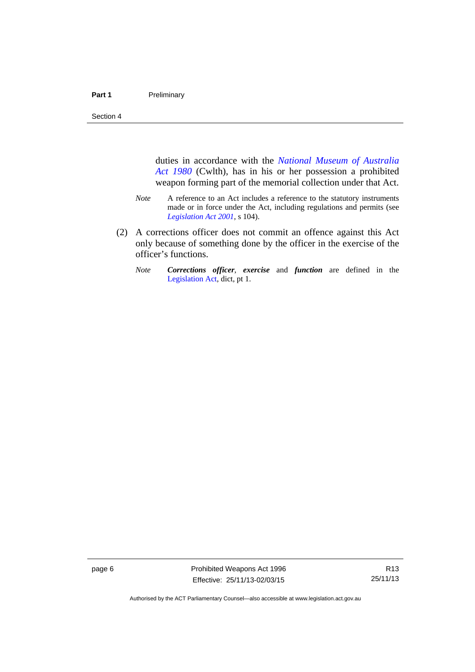Section 4

duties in accordance with the *[National Museum of Australia](http://www.comlaw.gov.au/Series/C2004A02316)  [Act 1980](http://www.comlaw.gov.au/Series/C2004A02316)* (Cwlth), has in his or her possession a prohibited weapon forming part of the memorial collection under that Act.

- *Note* A reference to an Act includes a reference to the statutory instruments made or in force under the Act, including regulations and permits (see *[Legislation Act 2001](http://www.legislation.act.gov.au/a/2001-14)*, s 104).
- (2) A corrections officer does not commit an offence against this Act only because of something done by the officer in the exercise of the officer's functions.
	- *Note Corrections officer*, *exercise* and *function* are defined in the [Legislation Act,](http://www.legislation.act.gov.au/a/2001-14) dict, pt 1.

page 6 **Prohibited Weapons Act 1996** Effective: 25/11/13-02/03/15

R13 25/11/13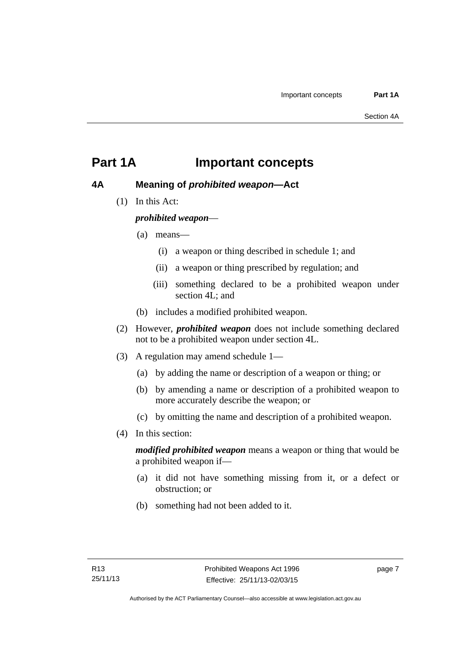## <span id="page-12-0"></span>**Part 1A Important concepts**

## <span id="page-12-1"></span>**4A Meaning of** *prohibited weapon***—Act**

(1) In this Act:

## *prohibited weapon*—

- (a) means—
	- (i) a weapon or thing described in schedule 1; and
	- (ii) a weapon or thing prescribed by regulation; and
	- (iii) something declared to be a prohibited weapon under section 4L; and
- (b) includes a modified prohibited weapon.
- (2) However, *prohibited weapon* does not include something declared not to be a prohibited weapon under section 4L.
- (3) A regulation may amend schedule 1—
	- (a) by adding the name or description of a weapon or thing; or
	- (b) by amending a name or description of a prohibited weapon to more accurately describe the weapon; or
	- (c) by omitting the name and description of a prohibited weapon.
- (4) In this section:

*modified prohibited weapon* means a weapon or thing that would be a prohibited weapon if—

- (a) it did not have something missing from it, or a defect or obstruction; or
- (b) something had not been added to it.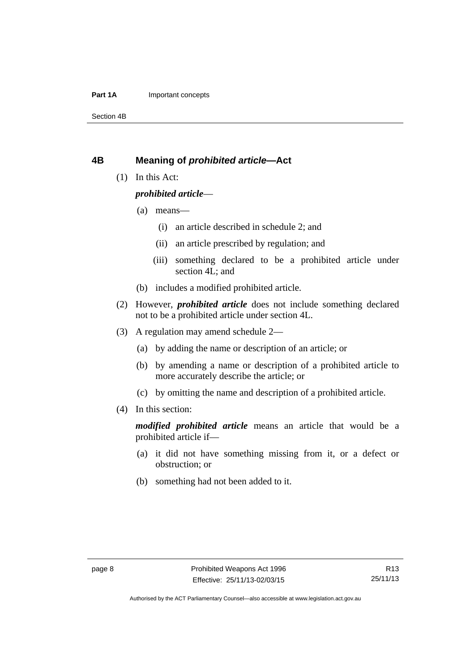#### **Part 1A** Important concepts

Section 4B

#### <span id="page-13-0"></span>**4B Meaning of** *prohibited article***—Act**

(1) In this Act:

#### *prohibited article*—

- (a) means—
	- (i) an article described in schedule 2; and
	- (ii) an article prescribed by regulation; and
	- (iii) something declared to be a prohibited article under section 4L; and
- (b) includes a modified prohibited article.
- (2) However, *prohibited article* does not include something declared not to be a prohibited article under section 4L.
- (3) A regulation may amend schedule 2—
	- (a) by adding the name or description of an article; or
	- (b) by amending a name or description of a prohibited article to more accurately describe the article; or
	- (c) by omitting the name and description of a prohibited article.
- (4) In this section:

*modified prohibited article* means an article that would be a prohibited article if—

- (a) it did not have something missing from it, or a defect or obstruction; or
- (b) something had not been added to it.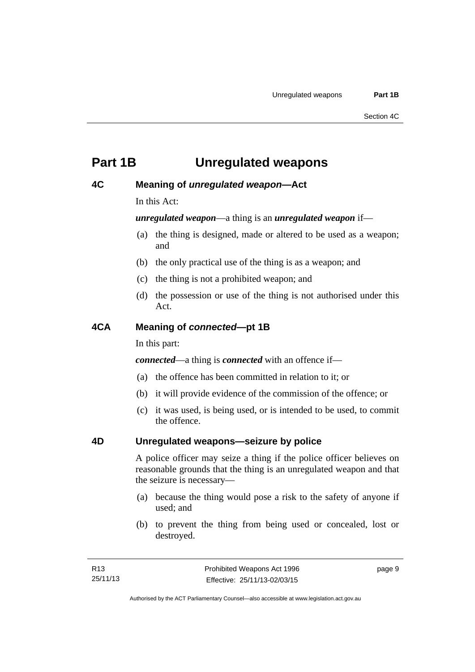## <span id="page-14-0"></span>**Part 1B Unregulated weapons**

### <span id="page-14-1"></span>**4C Meaning of** *unregulated weapon***—Act**

In this Act:

*unregulated weapon*—a thing is an *unregulated weapon* if—

- (a) the thing is designed, made or altered to be used as a weapon; and
- (b) the only practical use of the thing is as a weapon; and
- (c) the thing is not a prohibited weapon; and
- (d) the possession or use of the thing is not authorised under this Act.

#### <span id="page-14-2"></span>**4CA Meaning of** *connected***—pt 1B**

In this part:

*connected*—a thing is *connected* with an offence if—

- (a) the offence has been committed in relation to it; or
- (b) it will provide evidence of the commission of the offence; or
- (c) it was used, is being used, or is intended to be used, to commit the offence.

#### <span id="page-14-3"></span>**4D Unregulated weapons—seizure by police**

A police officer may seize a thing if the police officer believes on reasonable grounds that the thing is an unregulated weapon and that the seizure is necessary—

- (a) because the thing would pose a risk to the safety of anyone if used; and
- (b) to prevent the thing from being used or concealed, lost or destroyed.

page 9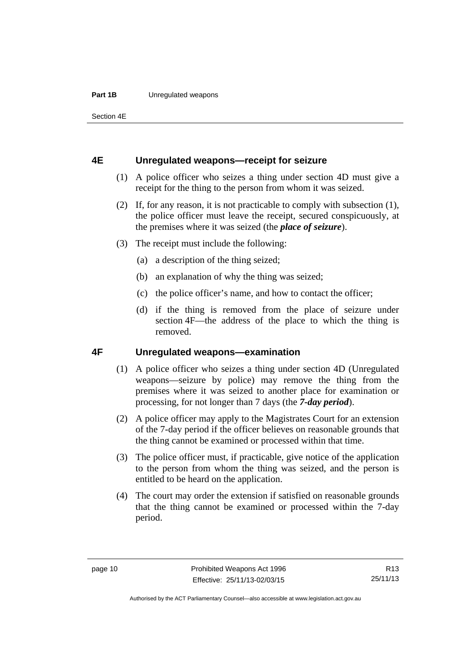#### **Part 1B** Unregulated weapons

Section 4E

#### <span id="page-15-0"></span>**4E Unregulated weapons—receipt for seizure**

- (1) A police officer who seizes a thing under section 4D must give a receipt for the thing to the person from whom it was seized.
- (2) If, for any reason, it is not practicable to comply with subsection (1), the police officer must leave the receipt, secured conspicuously, at the premises where it was seized (the *place of seizure*).
- (3) The receipt must include the following:
	- (a) a description of the thing seized;
	- (b) an explanation of why the thing was seized;
	- (c) the police officer's name, and how to contact the officer;
	- (d) if the thing is removed from the place of seizure under section 4F—the address of the place to which the thing is removed.

#### <span id="page-15-1"></span>**4F Unregulated weapons—examination**

- (1) A police officer who seizes a thing under section 4D (Unregulated weapons—seizure by police) may remove the thing from the premises where it was seized to another place for examination or processing, for not longer than 7 days (the *7-day period*).
- (2) A police officer may apply to the Magistrates Court for an extension of the 7-day period if the officer believes on reasonable grounds that the thing cannot be examined or processed within that time.
- (3) The police officer must, if practicable, give notice of the application to the person from whom the thing was seized, and the person is entitled to be heard on the application.
- (4) The court may order the extension if satisfied on reasonable grounds that the thing cannot be examined or processed within the 7-day period.

R13 25/11/13

Authorised by the ACT Parliamentary Counsel—also accessible at www.legislation.act.gov.au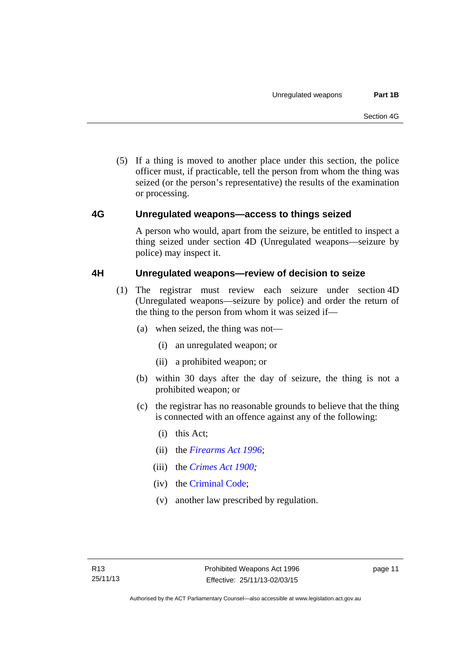(5) If a thing is moved to another place under this section, the police officer must, if practicable, tell the person from whom the thing was seized (or the person's representative) the results of the examination or processing.

### <span id="page-16-0"></span>**4G Unregulated weapons—access to things seized**

A person who would, apart from the seizure, be entitled to inspect a thing seized under section 4D (Unregulated weapons—seizure by police) may inspect it.

### <span id="page-16-1"></span>**4H Unregulated weapons—review of decision to seize**

- (1) The registrar must review each seizure under section 4D (Unregulated weapons—seizure by police) and order the return of the thing to the person from whom it was seized if—
	- (a) when seized, the thing was not—
		- (i) an unregulated weapon; or
		- (ii) a prohibited weapon; or
	- (b) within 30 days after the day of seizure, the thing is not a prohibited weapon; or
	- (c) the registrar has no reasonable grounds to believe that the thing is connected with an offence against any of the following:
		- (i) this Act;
		- (ii) the *[Firearms Act 1996](http://www.legislation.act.gov.au/a/1996-74)*;
		- (iii) the *[Crimes Act 1900](http://www.legislation.act.gov.au/a/1900-40);*
		- (iv) the [Criminal Code;](http://www.legislation.act.gov.au/a/2002-51)
		- (v) another law prescribed by regulation.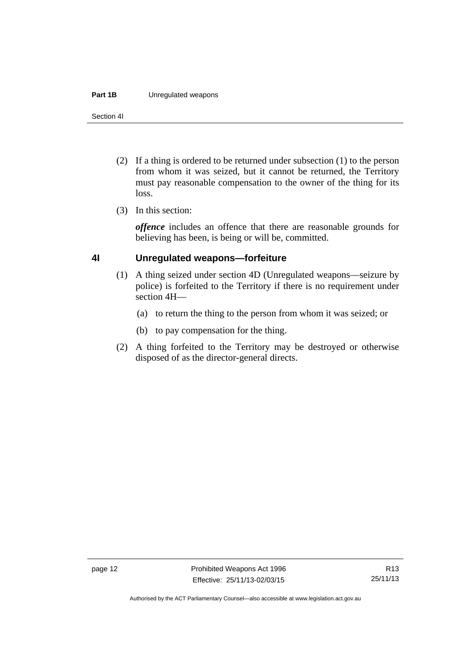#### **Part 1B** Unregulated weapons

Section 4I

- (2) If a thing is ordered to be returned under subsection (1) to the person from whom it was seized, but it cannot be returned, the Territory must pay reasonable compensation to the owner of the thing for its loss.
- (3) In this section:

*offence* includes an offence that there are reasonable grounds for believing has been, is being or will be, committed.

### <span id="page-17-0"></span>**4I Unregulated weapons—forfeiture**

- (1) A thing seized under section 4D (Unregulated weapons—seizure by police) is forfeited to the Territory if there is no requirement under section 4H—
	- (a) to return the thing to the person from whom it was seized; or
	- (b) to pay compensation for the thing.
- (2) A thing forfeited to the Territory may be destroyed or otherwise disposed of as the director-general directs.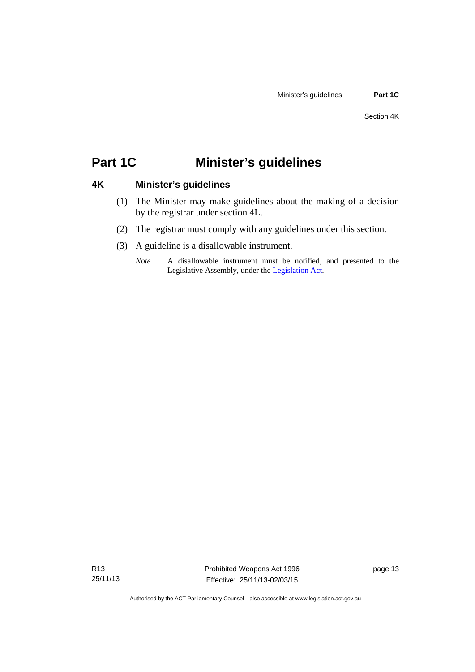## <span id="page-18-0"></span>**Part 1C Minister's guidelines**

### <span id="page-18-1"></span>**4K Minister's guidelines**

- (1) The Minister may make guidelines about the making of a decision by the registrar under section 4L.
- (2) The registrar must comply with any guidelines under this section.
- (3) A guideline is a disallowable instrument.
	- *Note* A disallowable instrument must be notified, and presented to the Legislative Assembly, under the [Legislation Act.](http://www.legislation.act.gov.au/a/2001-14)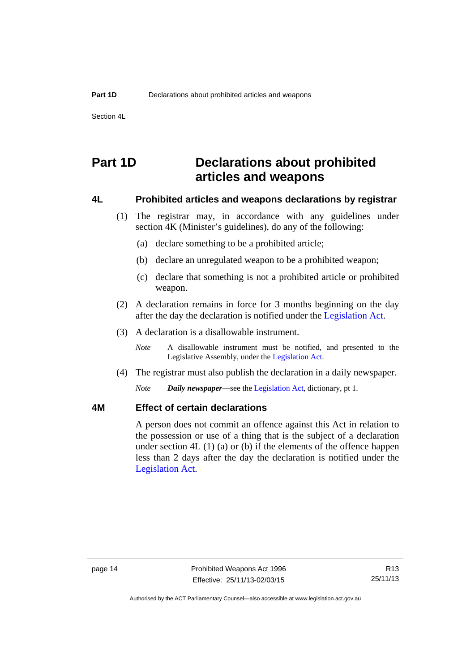Section 4L

## <span id="page-19-0"></span>**Part 1D Declarations about prohibited articles and weapons**

#### <span id="page-19-1"></span>**4L Prohibited articles and weapons declarations by registrar**

- (1) The registrar may, in accordance with any guidelines under section 4K (Minister's guidelines), do any of the following:
	- (a) declare something to be a prohibited article;
	- (b) declare an unregulated weapon to be a prohibited weapon;
	- (c) declare that something is not a prohibited article or prohibited weapon.
- (2) A declaration remains in force for 3 months beginning on the day after the day the declaration is notified under the [Legislation Act.](http://www.legislation.act.gov.au/a/2001-14)
- (3) A declaration is a disallowable instrument.

*Note* A disallowable instrument must be notified, and presented to the Legislative Assembly, under the [Legislation Act.](http://www.legislation.act.gov.au/a/2001-14)

(4) The registrar must also publish the declaration in a daily newspaper.

*Note Daily newspaper*—see the [Legislation Act,](http://www.legislation.act.gov.au/a/2001-14) dictionary, pt 1.

### <span id="page-19-2"></span>**4M Effect of certain declarations**

A person does not commit an offence against this Act in relation to the possession or use of a thing that is the subject of a declaration under section 4L (1) (a) or (b) if the elements of the offence happen less than 2 days after the day the declaration is notified under the [Legislation Act](http://www.legislation.act.gov.au/a/2001-14).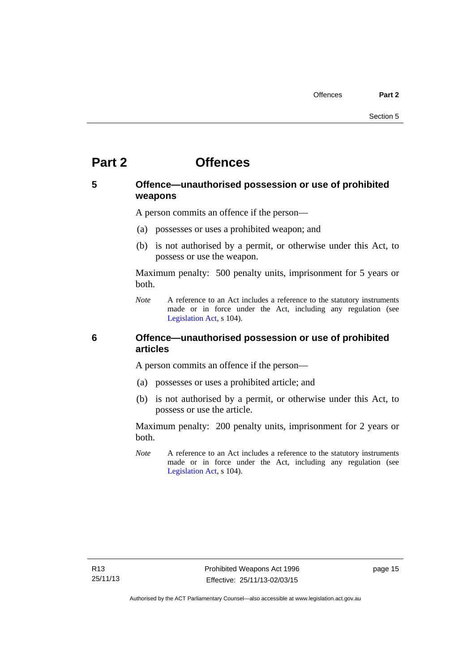## <span id="page-20-0"></span>**Part 2 Offences**

## <span id="page-20-1"></span>**5 Offence—unauthorised possession or use of prohibited weapons**

A person commits an offence if the person—

- (a) possesses or uses a prohibited weapon; and
- (b) is not authorised by a permit, or otherwise under this Act, to possess or use the weapon.

Maximum penalty: 500 penalty units, imprisonment for 5 years or both.

*Note* A reference to an Act includes a reference to the statutory instruments made or in force under the Act, including any regulation (see [Legislation Act,](http://www.legislation.act.gov.au/a/2001-14) s 104).

### <span id="page-20-2"></span>**6 Offence—unauthorised possession or use of prohibited articles**

A person commits an offence if the person—

- (a) possesses or uses a prohibited article; and
- (b) is not authorised by a permit, or otherwise under this Act, to possess or use the article.

Maximum penalty: 200 penalty units, imprisonment for 2 years or both.

*Note* A reference to an Act includes a reference to the statutory instruments made or in force under the Act, including any regulation (see [Legislation Act,](http://www.legislation.act.gov.au/a/2001-14) s 104).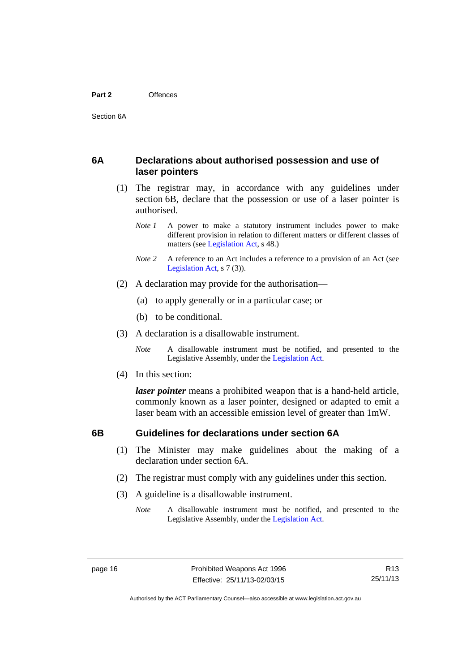#### <span id="page-21-0"></span>**6A Declarations about authorised possession and use of laser pointers**

- (1) The registrar may, in accordance with any guidelines under section 6B, declare that the possession or use of a laser pointer is authorised.
	- *Note 1* A power to make a statutory instrument includes power to make different provision in relation to different matters or different classes of matters (see [Legislation Act,](http://www.legislation.act.gov.au/a/2001-14) s 48.)
	- *Note* 2 A reference to an Act includes a reference to a provision of an Act (see [Legislation Act,](http://www.legislation.act.gov.au/a/2001-14) s 7 (3)).
- (2) A declaration may provide for the authorisation—
	- (a) to apply generally or in a particular case; or
	- (b) to be conditional.
- (3) A declaration is a disallowable instrument.

*Note* A disallowable instrument must be notified, and presented to the Legislative Assembly, under the [Legislation Act.](http://www.legislation.act.gov.au/a/2001-14)

(4) In this section:

*laser pointer* means a prohibited weapon that is a hand-held article, commonly known as a laser pointer, designed or adapted to emit a laser beam with an accessible emission level of greater than 1mW.

### <span id="page-21-1"></span>**6B Guidelines for declarations under section 6A**

- (1) The Minister may make guidelines about the making of a declaration under section 6A.
- (2) The registrar must comply with any guidelines under this section.
- (3) A guideline is a disallowable instrument.
	- *Note* A disallowable instrument must be notified, and presented to the Legislative Assembly, under the [Legislation Act.](http://www.legislation.act.gov.au/a/2001-14)

R13 25/11/13

Authorised by the ACT Parliamentary Counsel—also accessible at www.legislation.act.gov.au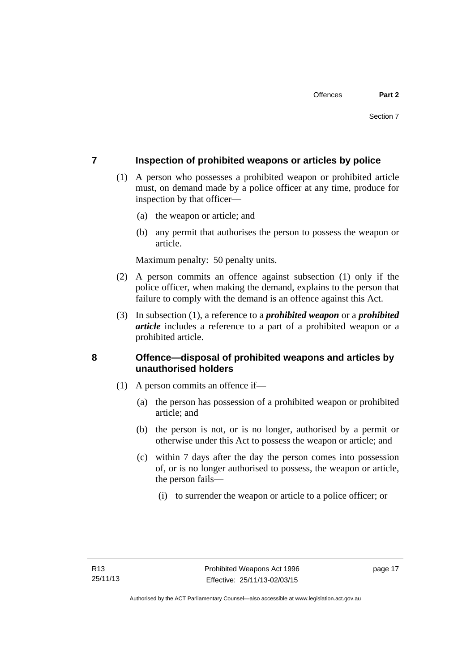### <span id="page-22-0"></span>**7 Inspection of prohibited weapons or articles by police**

- (1) A person who possesses a prohibited weapon or prohibited article must, on demand made by a police officer at any time, produce for inspection by that officer—
	- (a) the weapon or article; and
	- (b) any permit that authorises the person to possess the weapon or article.

Maximum penalty: 50 penalty units.

- (2) A person commits an offence against subsection (1) only if the police officer, when making the demand, explains to the person that failure to comply with the demand is an offence against this Act.
- (3) In subsection (1), a reference to a *prohibited weapon* or a *prohibited article* includes a reference to a part of a prohibited weapon or a prohibited article.

## <span id="page-22-1"></span>**8 Offence—disposal of prohibited weapons and articles by unauthorised holders**

- (1) A person commits an offence if—
	- (a) the person has possession of a prohibited weapon or prohibited article; and
	- (b) the person is not, or is no longer, authorised by a permit or otherwise under this Act to possess the weapon or article; and
	- (c) within 7 days after the day the person comes into possession of, or is no longer authorised to possess, the weapon or article, the person fails—
		- (i) to surrender the weapon or article to a police officer; or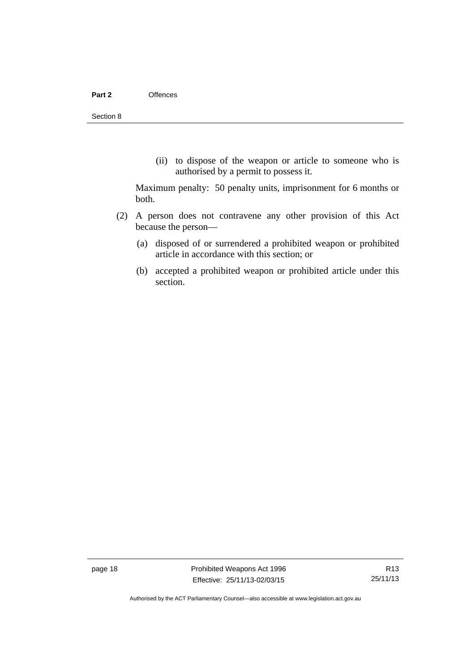(ii) to dispose of the weapon or article to someone who is authorised by a permit to possess it.

Maximum penalty: 50 penalty units, imprisonment for 6 months or both.

- (2) A person does not contravene any other provision of this Act because the person—
	- (a) disposed of or surrendered a prohibited weapon or prohibited article in accordance with this section; or
	- (b) accepted a prohibited weapon or prohibited article under this section.

page 18 **Prohibited Weapons Act 1996** Effective: 25/11/13-02/03/15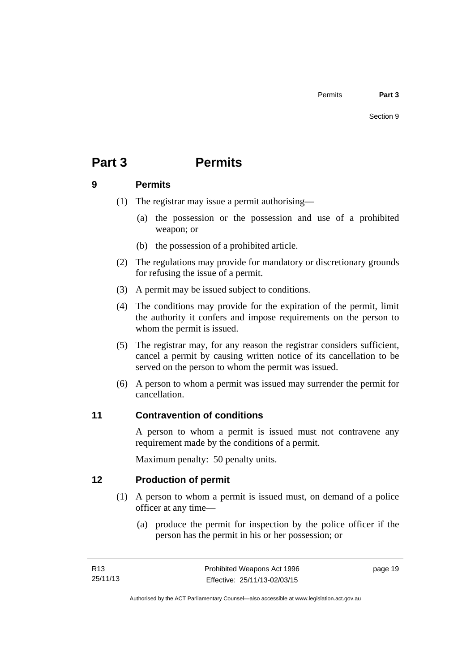## <span id="page-24-0"></span>**Part 3 Permits**

### <span id="page-24-1"></span>**9 Permits**

- (1) The registrar may issue a permit authorising—
	- (a) the possession or the possession and use of a prohibited weapon; or
	- (b) the possession of a prohibited article.
- (2) The regulations may provide for mandatory or discretionary grounds for refusing the issue of a permit.
- (3) A permit may be issued subject to conditions.
- (4) The conditions may provide for the expiration of the permit, limit the authority it confers and impose requirements on the person to whom the permit is issued.
- (5) The registrar may, for any reason the registrar considers sufficient, cancel a permit by causing written notice of its cancellation to be served on the person to whom the permit was issued.
- (6) A person to whom a permit was issued may surrender the permit for cancellation.

## <span id="page-24-2"></span>**11 Contravention of conditions**

A person to whom a permit is issued must not contravene any requirement made by the conditions of a permit.

Maximum penalty: 50 penalty units.

## <span id="page-24-3"></span>**12 Production of permit**

- (1) A person to whom a permit is issued must, on demand of a police officer at any time—
	- (a) produce the permit for inspection by the police officer if the person has the permit in his or her possession; or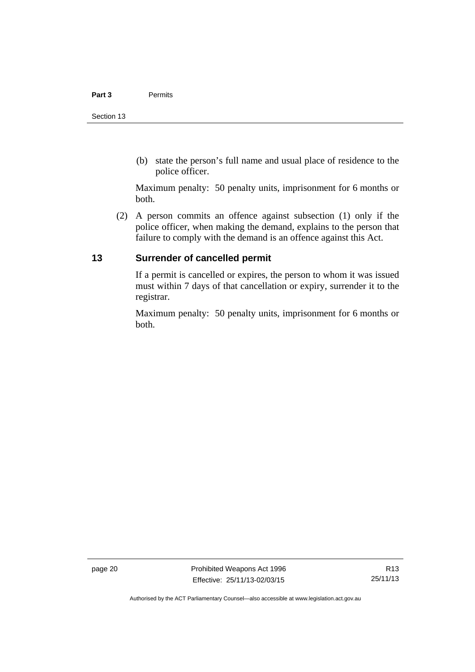(b) state the person's full name and usual place of residence to the police officer.

Maximum penalty: 50 penalty units, imprisonment for 6 months or both.

 (2) A person commits an offence against subsection (1) only if the police officer, when making the demand, explains to the person that failure to comply with the demand is an offence against this Act.

## <span id="page-25-0"></span>**13 Surrender of cancelled permit**

If a permit is cancelled or expires, the person to whom it was issued must within 7 days of that cancellation or expiry, surrender it to the registrar.

Maximum penalty: 50 penalty units, imprisonment for 6 months or both.

page 20 **Prohibited Weapons Act 1996** Effective: 25/11/13-02/03/15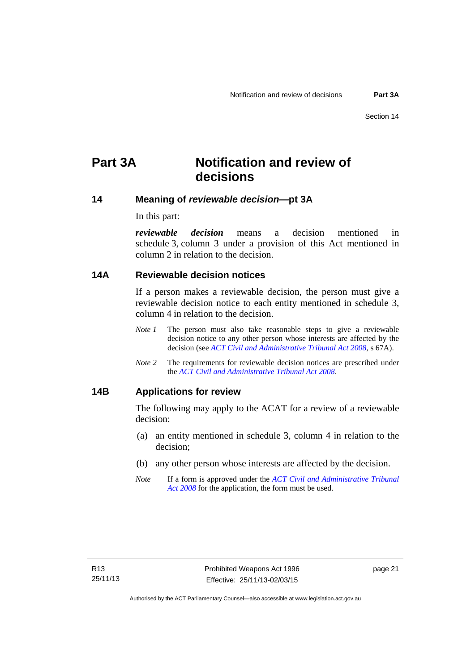## <span id="page-26-0"></span>**Part 3A Notification and review of decisions**

### <span id="page-26-1"></span>**14 Meaning of** *reviewable decision—***pt 3A**

In this part:

*reviewable decision* means a decision mentioned in schedule 3, column 3 under a provision of this Act mentioned in column 2 in relation to the decision.

#### <span id="page-26-2"></span>**14A Reviewable decision notices**

If a person makes a reviewable decision, the person must give a reviewable decision notice to each entity mentioned in schedule 3, column 4 in relation to the decision.

- *Note 1* The person must also take reasonable steps to give a reviewable decision notice to any other person whose interests are affected by the decision (see *[ACT Civil and Administrative Tribunal Act 2008](http://www.legislation.act.gov.au/a/2008-35)*, s 67A).
- *Note 2* The requirements for reviewable decision notices are prescribed under the *[ACT Civil and Administrative Tribunal Act 2008](http://www.legislation.act.gov.au/a/2008-35)*.

#### <span id="page-26-3"></span>**14B Applications for review**

The following may apply to the ACAT for a review of a reviewable decision:

- (a) an entity mentioned in schedule 3, column 4 in relation to the decision;
- (b) any other person whose interests are affected by the decision.
- *Note* If a form is approved under the *[ACT Civil and Administrative Tribunal](http://www.legislation.act.gov.au/a/2008-35)  [Act 2008](http://www.legislation.act.gov.au/a/2008-35)* for the application, the form must be used.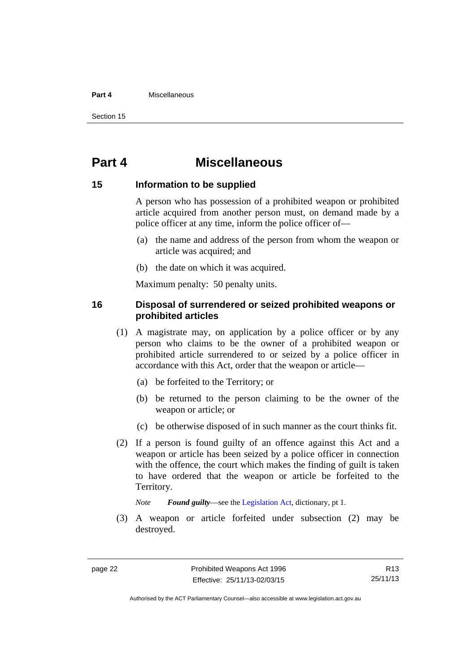#### **Part 4** Miscellaneous

Section 15

## <span id="page-27-0"></span>**Part 4 Miscellaneous**

#### <span id="page-27-1"></span>**15 Information to be supplied**

A person who has possession of a prohibited weapon or prohibited article acquired from another person must, on demand made by a police officer at any time, inform the police officer of—

- (a) the name and address of the person from whom the weapon or article was acquired; and
- (b) the date on which it was acquired.

Maximum penalty: 50 penalty units.

### <span id="page-27-2"></span>**16 Disposal of surrendered or seized prohibited weapons or prohibited articles**

- (1) A magistrate may, on application by a police officer or by any person who claims to be the owner of a prohibited weapon or prohibited article surrendered to or seized by a police officer in accordance with this Act, order that the weapon or article—
	- (a) be forfeited to the Territory; or
	- (b) be returned to the person claiming to be the owner of the weapon or article; or
	- (c) be otherwise disposed of in such manner as the court thinks fit.
- (2) If a person is found guilty of an offence against this Act and a weapon or article has been seized by a police officer in connection with the offence, the court which makes the finding of guilt is taken to have ordered that the weapon or article be forfeited to the Territory.

*Note Found guilty*—see the [Legislation Act,](http://www.legislation.act.gov.au/a/2001-14) dictionary, pt 1.

 (3) A weapon or article forfeited under subsection (2) may be destroyed.

R13 25/11/13

Authorised by the ACT Parliamentary Counsel—also accessible at www.legislation.act.gov.au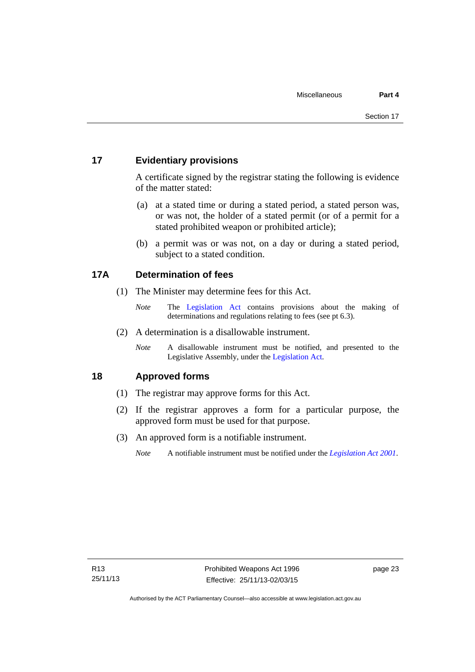## <span id="page-28-0"></span>**17 Evidentiary provisions**

A certificate signed by the registrar stating the following is evidence of the matter stated:

- (a) at a stated time or during a stated period, a stated person was, or was not, the holder of a stated permit (or of a permit for a stated prohibited weapon or prohibited article);
- (b) a permit was or was not, on a day or during a stated period, subject to a stated condition.

### <span id="page-28-1"></span>**17A Determination of fees**

- (1) The Minister may determine fees for this Act.
	- *Note* The [Legislation Act](http://www.legislation.act.gov.au/a/2001-14) contains provisions about the making of determinations and regulations relating to fees (see pt 6.3).
- (2) A determination is a disallowable instrument.
	- *Note* A disallowable instrument must be notified, and presented to the Legislative Assembly, under the [Legislation Act.](http://www.legislation.act.gov.au/a/2001-14)

## <span id="page-28-2"></span>**18 Approved forms**

- (1) The registrar may approve forms for this Act.
- (2) If the registrar approves a form for a particular purpose, the approved form must be used for that purpose.
- (3) An approved form is a notifiable instrument.
	- *Note* A notifiable instrument must be notified under the *[Legislation Act 2001](http://www.legislation.act.gov.au/a/2001-14)*.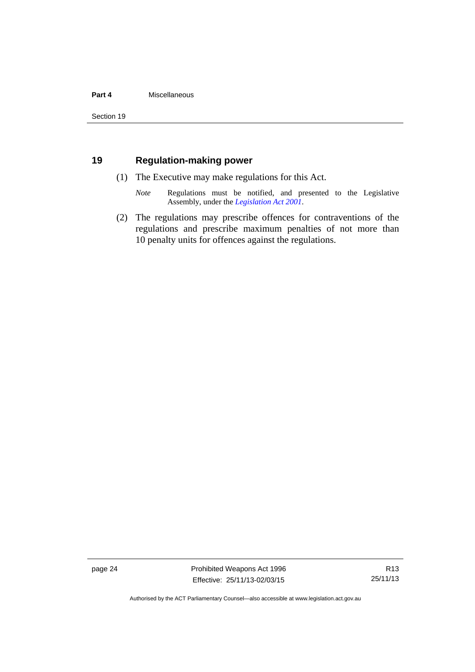#### **Part 4** Miscellaneous

## <span id="page-29-0"></span>**19 Regulation-making power**

- (1) The Executive may make regulations for this Act.
	- *Note* Regulations must be notified, and presented to the Legislative Assembly, under the *[Legislation Act 2001](http://www.legislation.act.gov.au/a/2001-14)*.
- (2) The regulations may prescribe offences for contraventions of the regulations and prescribe maximum penalties of not more than 10 penalty units for offences against the regulations.

page 24 **Prohibited Weapons Act 1996** Effective: 25/11/13-02/03/15

R13 25/11/13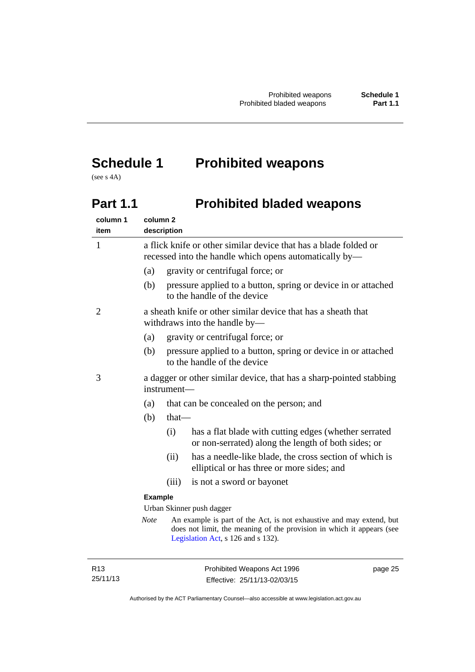## <span id="page-30-0"></span>**Schedule 1 Prohibited weapons**

(see s 4A)

## <span id="page-30-1"></span>Part 1.1 **Prohibited bladed weapons**

| column 1<br>item | column <sub>2</sub>                                                                                                        | description |                                                                                                                                                                                     |  |
|------------------|----------------------------------------------------------------------------------------------------------------------------|-------------|-------------------------------------------------------------------------------------------------------------------------------------------------------------------------------------|--|
| $\mathbf{1}$     | a flick knife or other similar device that has a blade folded or<br>recessed into the handle which opens automatically by- |             |                                                                                                                                                                                     |  |
|                  | (a)                                                                                                                        |             | gravity or centrifugal force; or                                                                                                                                                    |  |
|                  | (b)                                                                                                                        |             | pressure applied to a button, spring or device in or attached<br>to the handle of the device                                                                                        |  |
| 2                |                                                                                                                            |             | a sheath knife or other similar device that has a sheath that<br>withdraws into the handle by—                                                                                      |  |
|                  | (a)                                                                                                                        |             | gravity or centrifugal force; or                                                                                                                                                    |  |
|                  | (b)                                                                                                                        |             | pressure applied to a button, spring or device in or attached<br>to the handle of the device                                                                                        |  |
| 3                |                                                                                                                            | instrument- | a dagger or other similar device, that has a sharp-pointed stabbing                                                                                                                 |  |
|                  | (a)                                                                                                                        |             | that can be concealed on the person; and                                                                                                                                            |  |
|                  | (b)                                                                                                                        | that-       |                                                                                                                                                                                     |  |
|                  |                                                                                                                            | (i)         | has a flat blade with cutting edges (whether serrated<br>or non-serrated) along the length of both sides; or                                                                        |  |
|                  |                                                                                                                            | (ii)        | has a needle-like blade, the cross section of which is<br>elliptical or has three or more sides; and                                                                                |  |
|                  |                                                                                                                            | (iii)       | is not a sword or bayonet                                                                                                                                                           |  |
|                  | <b>Example</b>                                                                                                             |             |                                                                                                                                                                                     |  |
|                  |                                                                                                                            |             | Urban Skinner push dagger                                                                                                                                                           |  |
|                  | <b>Note</b>                                                                                                                |             | An example is part of the Act, is not exhaustive and may extend, but<br>does not limit, the meaning of the provision in which it appears (see<br>Legislation Act, s 126 and s 132). |  |
|                  |                                                                                                                            |             |                                                                                                                                                                                     |  |

R13 25/11/13 page 25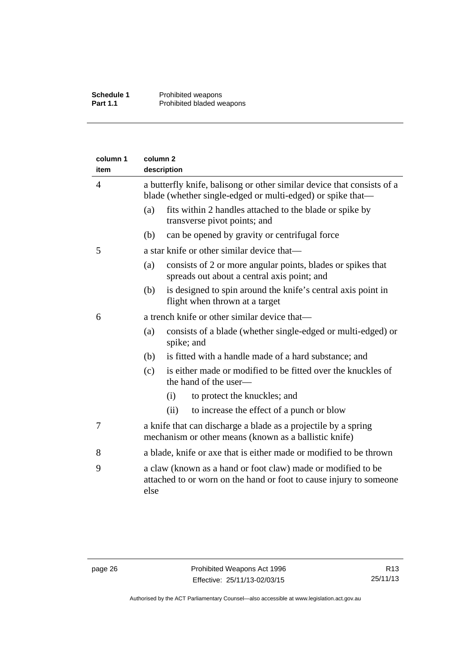| column 1<br>item | column <sub>2</sub><br>description                                                                                                   |                                                                                                                                    |  |
|------------------|--------------------------------------------------------------------------------------------------------------------------------------|------------------------------------------------------------------------------------------------------------------------------------|--|
| 4                | a butterfly knife, balisong or other similar device that consists of a<br>blade (whether single-edged or multi-edged) or spike that— |                                                                                                                                    |  |
|                  | (a)                                                                                                                                  | fits within 2 handles attached to the blade or spike by<br>transverse pivot points; and                                            |  |
|                  | (b)                                                                                                                                  | can be opened by gravity or centrifugal force                                                                                      |  |
| 5                |                                                                                                                                      | a star knife or other similar device that—                                                                                         |  |
|                  | (a)                                                                                                                                  | consists of 2 or more angular points, blades or spikes that<br>spreads out about a central axis point; and                         |  |
|                  | (b)                                                                                                                                  | is designed to spin around the knife's central axis point in<br>flight when thrown at a target                                     |  |
| 6                |                                                                                                                                      | a trench knife or other similar device that—                                                                                       |  |
|                  | (a)                                                                                                                                  | consists of a blade (whether single-edged or multi-edged) or<br>spike; and                                                         |  |
|                  | (b)                                                                                                                                  | is fitted with a handle made of a hard substance; and                                                                              |  |
|                  | (c)                                                                                                                                  | is either made or modified to be fitted over the knuckles of<br>the hand of the user-                                              |  |
|                  |                                                                                                                                      | to protect the knuckles; and<br>(i)                                                                                                |  |
|                  |                                                                                                                                      | (ii)<br>to increase the effect of a punch or blow                                                                                  |  |
| 7                |                                                                                                                                      | a knife that can discharge a blade as a projectile by a spring<br>mechanism or other means (known as a ballistic knife)            |  |
| 8                |                                                                                                                                      | a blade, knife or axe that is either made or modified to be thrown                                                                 |  |
| 9                | else                                                                                                                                 | a claw (known as a hand or foot claw) made or modified to be<br>attached to or worn on the hand or foot to cause injury to someone |  |
|                  |                                                                                                                                      |                                                                                                                                    |  |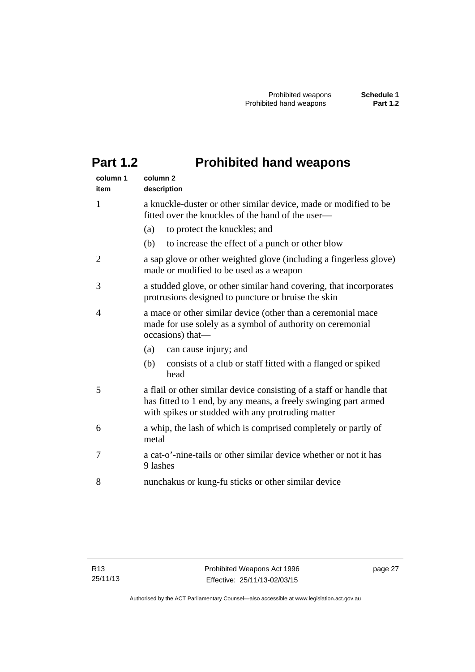## <span id="page-32-0"></span>**Part 1.2 Prohibited hand weapons**

| column 1<br>item | column <sub>2</sub><br>description                                                                                                                                                           |
|------------------|----------------------------------------------------------------------------------------------------------------------------------------------------------------------------------------------|
| $\mathbf{1}$     | a knuckle-duster or other similar device, made or modified to be<br>fitted over the knuckles of the hand of the user—                                                                        |
|                  | to protect the knuckles; and<br>(a)                                                                                                                                                          |
|                  | (b)<br>to increase the effect of a punch or other blow                                                                                                                                       |
| $\overline{2}$   | a sap glove or other weighted glove (including a fingerless glove)<br>made or modified to be used as a weapon                                                                                |
| 3                | a studded glove, or other similar hand covering, that incorporates<br>protrusions designed to puncture or bruise the skin                                                                    |
| 4                | a mace or other similar device (other than a ceremonial mace<br>made for use solely as a symbol of authority on ceremonial<br>occasions) that-                                               |
|                  | can cause injury; and<br>(a)                                                                                                                                                                 |
|                  | (b)<br>consists of a club or staff fitted with a flanged or spiked<br>head                                                                                                                   |
| 5                | a flail or other similar device consisting of a staff or handle that<br>has fitted to 1 end, by any means, a freely swinging part armed<br>with spikes or studded with any protruding matter |
| 6                | a whip, the lash of which is comprised completely or partly of<br>metal                                                                                                                      |
| 7                | a cat-o'-nine-tails or other similar device whether or not it has<br>9 lashes                                                                                                                |
| 8                | nunchakus or kung-fu sticks or other similar device                                                                                                                                          |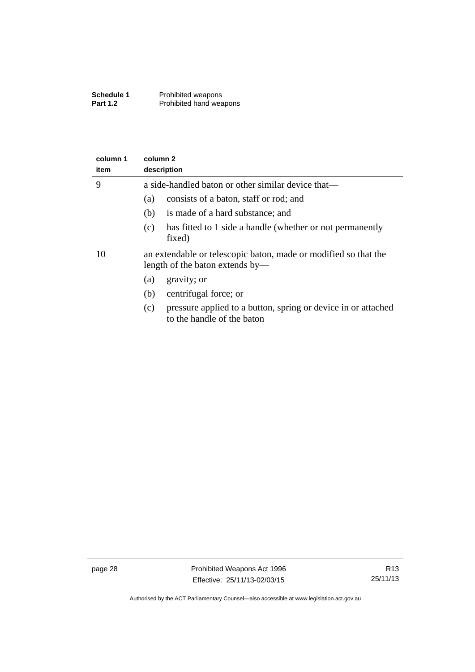| <b>Schedule 1</b> | Prohibited weapons      |
|-------------------|-------------------------|
| <b>Part 1.2</b>   | Prohibited hand weapons |

| column 1<br>item | column 2<br>description                                                                            |  |  |  |
|------------------|----------------------------------------------------------------------------------------------------|--|--|--|
| 9                | a side-handled baton or other similar device that—                                                 |  |  |  |
|                  | consists of a baton, staff or rod; and<br>(a)                                                      |  |  |  |
|                  | is made of a hard substance; and<br>(b)                                                            |  |  |  |
|                  | has fitted to 1 side a handle (whether or not permanently<br>(c)<br>fixed)                         |  |  |  |
| 10               | an extendable or telescopic baton, made or modified so that the<br>length of the baton extends by— |  |  |  |
|                  | gravity; or<br>(a)                                                                                 |  |  |  |
|                  | centrifugal force; or<br>(b)                                                                       |  |  |  |
|                  | pressure applied to a button, spring or device in or attached<br>(c)<br>to the handle of the baton |  |  |  |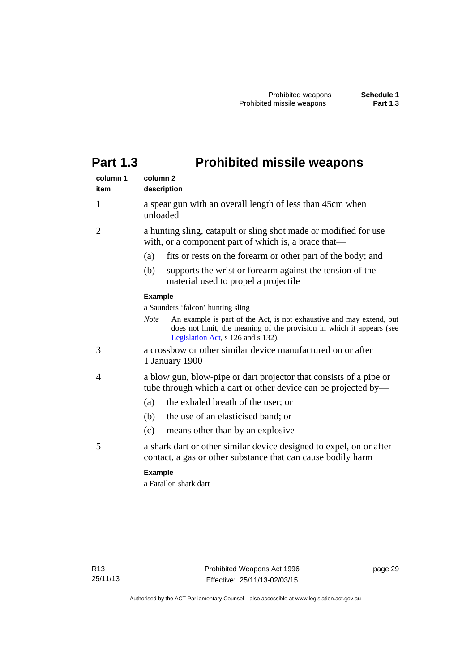## <span id="page-34-0"></span>**Part 1.3 Prohibited missile weapons**

| column 1<br>item | column <sub>2</sub><br>description                                                                                                                                                                 |
|------------------|----------------------------------------------------------------------------------------------------------------------------------------------------------------------------------------------------|
| 1                | a spear gun with an overall length of less than 45cm when<br>unloaded                                                                                                                              |
| 2                | a hunting sling, catapult or sling shot made or modified for use<br>with, or a component part of which is, a brace that—                                                                           |
|                  | (a)<br>fits or rests on the forearm or other part of the body; and                                                                                                                                 |
|                  | (b)<br>supports the wrist or forearm against the tension of the<br>material used to propel a projectile                                                                                            |
|                  | <b>Example</b>                                                                                                                                                                                     |
|                  | a Saunders 'falcon' hunting sling                                                                                                                                                                  |
|                  | <b>Note</b><br>An example is part of the Act, is not exhaustive and may extend, but<br>does not limit, the meaning of the provision in which it appears (see<br>Legislation Act, s 126 and s 132). |
| 3                | a crossbow or other similar device manufactured on or after<br>1 January 1900                                                                                                                      |
| 4                | a blow gun, blow-pipe or dart projector that consists of a pipe or<br>tube through which a dart or other device can be projected by—                                                               |
|                  | the exhaled breath of the user; or<br>(a)                                                                                                                                                          |
|                  | the use of an elasticised band; or<br>(b)                                                                                                                                                          |
|                  | (c)<br>means other than by an explosive                                                                                                                                                            |
| 5                | a shark dart or other similar device designed to expel, on or after<br>contact, a gas or other substance that can cause bodily harm                                                                |
|                  | <b>Example</b>                                                                                                                                                                                     |
|                  | a Farallon shark dart                                                                                                                                                                              |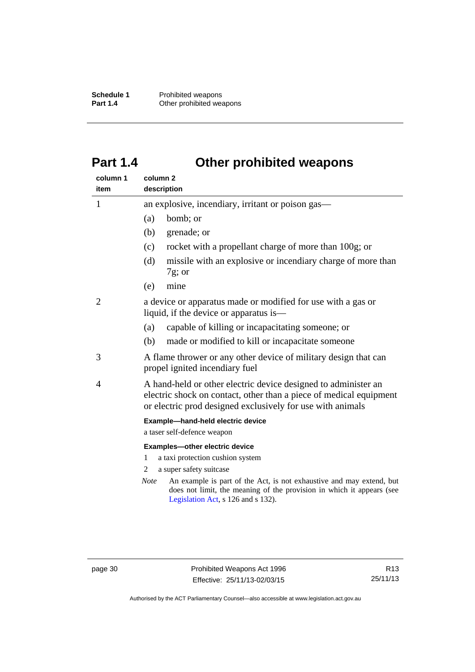**Schedule 1** Prohibited weapons<br> **Part 1.4** Other prohibited wea **Other prohibited weapons** 

## <span id="page-35-0"></span>**Part 1.4 Other prohibited weapons**

| column 1<br>item | column <sub>2</sub><br>description                                                                                                                                                                                            |  |
|------------------|-------------------------------------------------------------------------------------------------------------------------------------------------------------------------------------------------------------------------------|--|
| $\mathbf{1}$     | an explosive, incendiary, irritant or poison gas—                                                                                                                                                                             |  |
|                  | bomb; or<br>(a)                                                                                                                                                                                                               |  |
|                  | (b)<br>grenade; or                                                                                                                                                                                                            |  |
|                  | rocket with a propellant charge of more than 100g; or<br>(c)                                                                                                                                                                  |  |
|                  | missile with an explosive or incendiary charge of more than<br>(d)<br>$7g$ ; or                                                                                                                                               |  |
|                  | (e)<br>mine                                                                                                                                                                                                                   |  |
| 2                | a device or apparatus made or modified for use with a gas or<br>liquid, if the device or apparatus is—                                                                                                                        |  |
|                  | capable of killing or incapacitating someone; or<br>(a)                                                                                                                                                                       |  |
|                  | (b)<br>made or modified to kill or incapacitate someone                                                                                                                                                                       |  |
| 3                | A flame thrower or any other device of military design that can<br>propel ignited incendiary fuel                                                                                                                             |  |
| 4                | A hand-held or other electric device designed to administer an<br>electric shock on contact, other than a piece of medical equipment<br>or electric prod designed exclusively for use with animals                            |  |
|                  | Example-hand-held electric device                                                                                                                                                                                             |  |
|                  | a taser self-defence weapon                                                                                                                                                                                                   |  |
|                  | Examples-other electric device                                                                                                                                                                                                |  |
|                  | a taxi protection cushion system<br>1<br>2                                                                                                                                                                                    |  |
|                  | a super safety suitcase<br>An example is part of the Act, is not exhaustive and may extend, but<br><b>Note</b><br>does not limit, the meaning of the provision in which it appears (see<br>Legislation Act, s 126 and s 132). |  |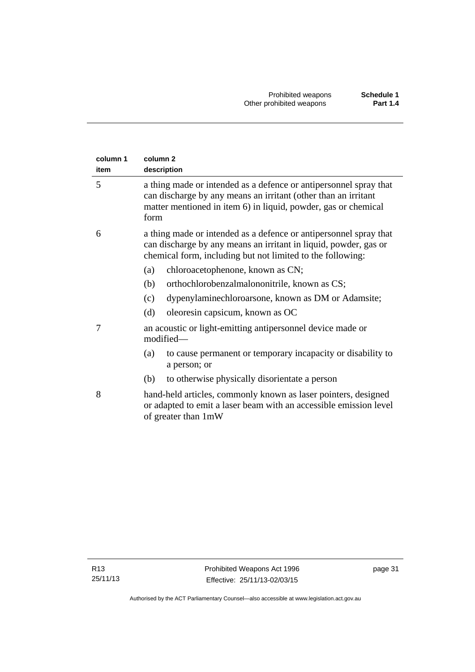| column 1<br>item | column <sub>2</sub><br>description                                                                                                                                                                            |  |  |
|------------------|---------------------------------------------------------------------------------------------------------------------------------------------------------------------------------------------------------------|--|--|
| 5                | a thing made or intended as a defence or antipersonnel spray that<br>can discharge by any means an irritant (other than an irritant<br>matter mentioned in item 6) in liquid, powder, gas or chemical<br>form |  |  |
| 6                | a thing made or intended as a defence or antipersonnel spray that<br>can discharge by any means an irritant in liquid, powder, gas or<br>chemical form, including but not limited to the following:           |  |  |
|                  | chloroacetophenone, known as CN;<br>(a)                                                                                                                                                                       |  |  |
|                  | orthochlorobenzalmalononitrile, known as CS;<br>(b)                                                                                                                                                           |  |  |
|                  | dypenylaminechloroarsone, known as DM or Adamsite;<br>(c)                                                                                                                                                     |  |  |
|                  | oleoresin capsicum, known as OC<br>(d)                                                                                                                                                                        |  |  |
| 7                | an acoustic or light-emitting antipersonnel device made or<br>modified-                                                                                                                                       |  |  |
|                  | to cause permanent or temporary incapacity or disability to<br>(a)<br>a person; or                                                                                                                            |  |  |
|                  | to otherwise physically disorientate a person<br>(b)                                                                                                                                                          |  |  |
| 8                | hand-held articles, commonly known as laser pointers, designed<br>or adapted to emit a laser beam with an accessible emission level<br>of greater than 1mW                                                    |  |  |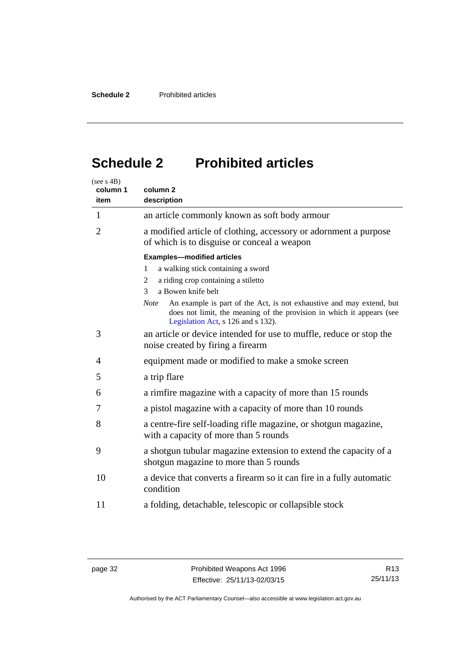## <span id="page-37-0"></span>**Schedule 2 Prohibited articles**

| (see s 4B)<br>column 1<br>item | column <sub>2</sub><br>description                                                                                                                                                                 |
|--------------------------------|----------------------------------------------------------------------------------------------------------------------------------------------------------------------------------------------------|
| 1                              | an article commonly known as soft body armour                                                                                                                                                      |
| $\overline{2}$                 | a modified article of clothing, accessory or adornment a purpose<br>of which is to disguise or conceal a weapon                                                                                    |
|                                | <b>Examples-modified articles</b>                                                                                                                                                                  |
|                                | a walking stick containing a sword<br>1                                                                                                                                                            |
|                                | a riding crop containing a stiletto<br>2                                                                                                                                                           |
|                                | a Bowen knife belt<br>3                                                                                                                                                                            |
|                                | An example is part of the Act, is not exhaustive and may extend, but<br><b>Note</b><br>does not limit, the meaning of the provision in which it appears (see<br>Legislation Act, s 126 and s 132). |
| 3                              | an article or device intended for use to muffle, reduce or stop the<br>noise created by firing a firearm                                                                                           |
| 4                              | equipment made or modified to make a smoke screen                                                                                                                                                  |
| 5                              | a trip flare                                                                                                                                                                                       |
| 6                              | a rimfire magazine with a capacity of more than 15 rounds                                                                                                                                          |
| 7                              | a pistol magazine with a capacity of more than 10 rounds                                                                                                                                           |
| 8                              | a centre-fire self-loading rifle magazine, or shotgun magazine,<br>with a capacity of more than 5 rounds                                                                                           |
| 9                              | a shotgun tubular magazine extension to extend the capacity of a<br>shotgun magazine to more than 5 rounds                                                                                         |
| 10                             | a device that converts a firearm so it can fire in a fully automatic<br>condition                                                                                                                  |
| 11                             | a folding, detachable, telescopic or collapsible stock                                                                                                                                             |

Authorised by the ACT Parliamentary Counsel—also accessible at www.legislation.act.gov.au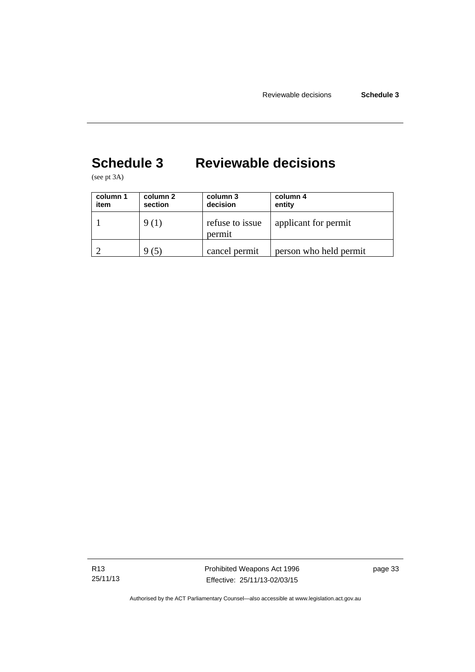## <span id="page-38-0"></span>**Schedule 3 Reviewable decisions**

(see pt 3A)

| column 1<br>item | column 2<br>section | column 3<br>decision      | column 4<br>entity     |
|------------------|---------------------|---------------------------|------------------------|
|                  | 9 (1)               | refuse to issue<br>permit | applicant for permit   |
|                  | (5)                 | cancel permit             | person who held permit |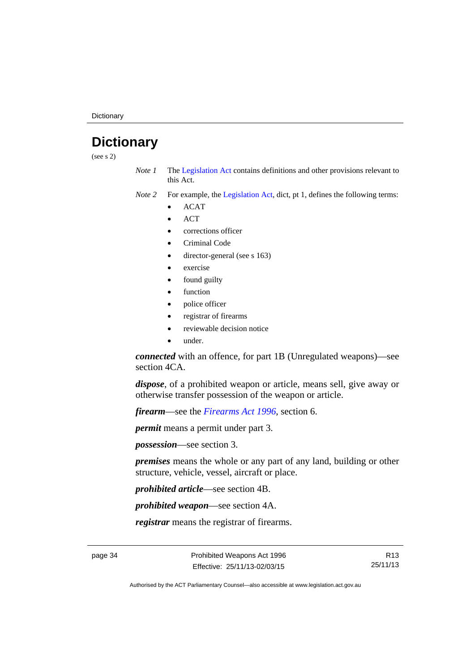**Dictionary** 

## <span id="page-39-0"></span>**Dictionary**

(see s 2)

- *Note 1* The [Legislation Act](http://www.legislation.act.gov.au/a/2001-14) contains definitions and other provisions relevant to this Act.
- *Note 2* For example, the [Legislation Act,](http://www.legislation.act.gov.au/a/2001-14) dict, pt 1, defines the following terms:
	- ACAT
	- **ACT**
	- corrections officer
	- Criminal Code
	- director-general (see s 163)
	- exercise
	- found guilty
	- function
	- police officer
	- registrar of firearms
	- reviewable decision notice
	- under.

*connected* with an offence, for part 1B (Unregulated weapons)—see section 4CA.

*dispose*, of a prohibited weapon or article, means sell, give away or otherwise transfer possession of the weapon or article.

*firearm*—see the *[Firearms Act 1996](http://www.legislation.act.gov.au/a/1996-74)*, section 6.

*permit* means a permit under part 3.

*possession*—see section 3.

*premises* means the whole or any part of any land, building or other structure, vehicle, vessel, aircraft or place.

*prohibited article*—see section 4B.

*prohibited weapon*—see section 4A.

*registrar* means the registrar of firearms.

page 34 **Prohibited Weapons Act 1996** Effective: 25/11/13-02/03/15

R13 25/11/13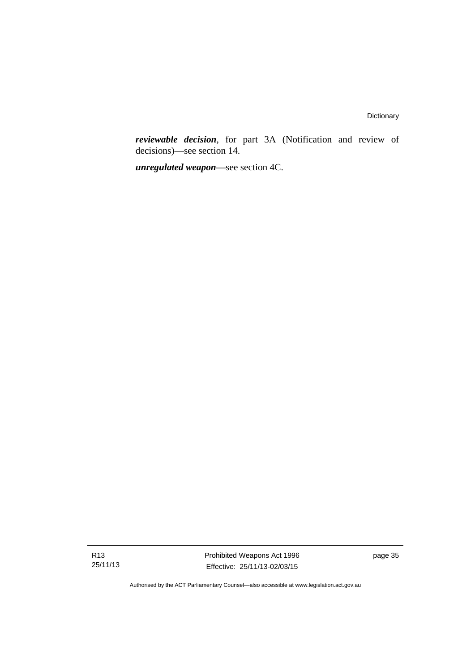*reviewable decision*, for part 3A (Notification and review of decisions)—see section 14.

*unregulated weapon*—see section 4C.

R13 25/11/13 Prohibited Weapons Act 1996 Effective: 25/11/13-02/03/15

page 35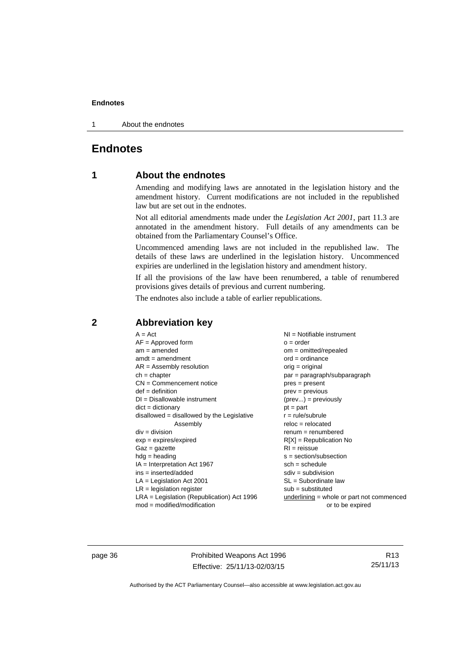1 About the endnotes

### <span id="page-41-0"></span>**Endnotes**

### **1 About the endnotes**

Amending and modifying laws are annotated in the legislation history and the amendment history. Current modifications are not included in the republished law but are set out in the endnotes.

Not all editorial amendments made under the *Legislation Act 2001*, part 11.3 are annotated in the amendment history. Full details of any amendments can be obtained from the Parliamentary Counsel's Office.

Uncommenced amending laws are not included in the republished law. The details of these laws are underlined in the legislation history. Uncommenced expiries are underlined in the legislation history and amendment history.

If all the provisions of the law have been renumbered, a table of renumbered provisions gives details of previous and current numbering.

The endnotes also include a table of earlier republications.

#### <span id="page-41-2"></span>**2 Abbreviation key**

page 36 **Prohibited Weapons Act 1996** Effective: 25/11/13-02/03/15

R13 25/11/13

<span id="page-41-1"></span>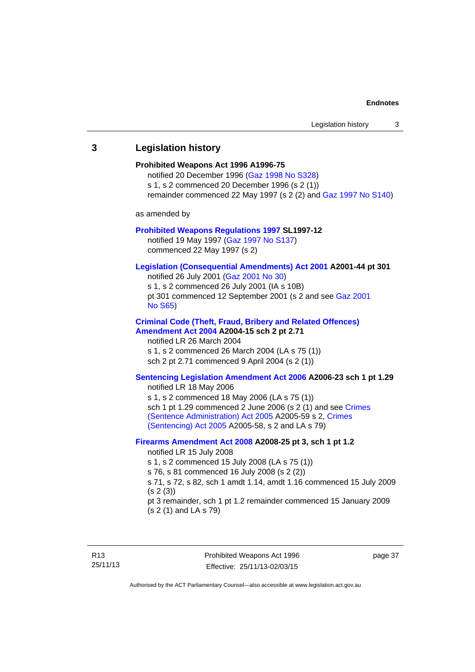## <span id="page-42-0"></span>**3 Legislation history Prohibited Weapons Act 1996 A1996-75**  notified 20 December 1996 [\(Gaz 1998 No S328](http://www.legislation.act.gov.au/gaz/1998-S328/default.asp)) s 1, s 2 commenced 20 December 1996 (s 2 (1)) remainder commenced 22 May 1997 (s 2 (2) and [Gaz 1997 No S140\)](http://www.legislation.act.gov.au/gaz/1997-S140/default.asp) as amended by **[Prohibited Weapons Regulations 1997](http://www.legislation.act.gov.au/sl/1997-12/default.asp) SL1997-12**  notified 19 May 1997 ([Gaz 1997 No S137](http://www.legislation.act.gov.au/gaz/1997-S137/default.asp)) commenced 22 May 1997 (s 2) **[Legislation \(Consequential Amendments\) Act 2001](http://www.legislation.act.gov.au/a/2001-44) A2001-44 pt 301**  notified 26 July 2001 ([Gaz 2001 No 30\)](http://www.legislation.act.gov.au/gaz/2001-30/default.asp) s 1, s 2 commenced 26 July 2001 (IA s 10B) pt 301 commenced 12 September 2001 (s 2 and see [Gaz 2001](http://www.legislation.act.gov.au/gaz/2001-S65/default.asp)  [No S65](http://www.legislation.act.gov.au/gaz/2001-S65/default.asp)) **[Criminal Code \(Theft, Fraud, Bribery and Related Offences\)](http://www.legislation.act.gov.au/a/2004-15/default.asp)  [Amendment Act 2004](http://www.legislation.act.gov.au/a/2004-15/default.asp) A2004-15 sch 2 pt 2.71**  notified LR 26 March 2004 s 1, s 2 commenced 26 March 2004 (LA s 75 (1)) sch 2 pt 2.71 commenced 9 April 2004 (s 2 (1)) **[Sentencing Legislation Amendment Act 2006](http://www.legislation.act.gov.au/a/2006-23) A2006-23 sch 1 pt 1.29**  notified LR 18 May 2006 s 1, s 2 commenced 18 May 2006 (LA s 75 (1)) sch 1 pt 1.29 commenced 2 June 2006 (s 2 (1) and see Crimes [\(Sentence Administration\) Act 2005](http://www.legislation.act.gov.au/a/2005-59) A2005-59 s 2, [Crimes](http://www.legislation.act.gov.au/a/2005-58)  [\(Sentencing\) Act 2005](http://www.legislation.act.gov.au/a/2005-58) A2005-58, s 2 and LA s 79) **[Firearms Amendment Act 2008](http://www.legislation.act.gov.au/a/2008-25) A2008-25 pt 3, sch 1 pt 1.2**  notified LR 15 July 2008 s 1, s 2 commenced 15 July 2008 (LA s 75 (1)) s 76, s 81 commenced 16 July 2008 (s 2 (2)) s 71, s 72, s 82, sch 1 amdt 1.14, amdt 1.16 commenced 15 July 2009 (s 2 (3)) pt 3 remainder, sch 1 pt 1.2 remainder commenced 15 January 2009 (s 2 (1) and LA s 79)

Prohibited Weapons Act 1996 Effective: 25/11/13-02/03/15

page 37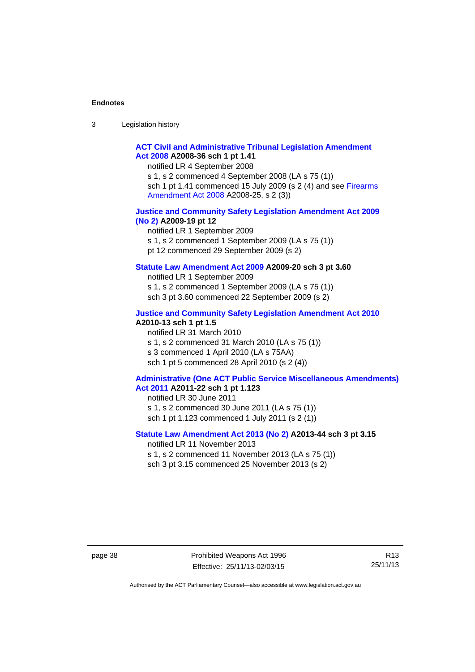| $\sqrt{2}$<br>- 3 | Legislation history |  |
|-------------------|---------------------|--|
|-------------------|---------------------|--|

#### **[ACT Civil and Administrative Tribunal Legislation Amendment](http://www.legislation.act.gov.au/a/2008-36)  [Act 2008](http://www.legislation.act.gov.au/a/2008-36) A2008-36 sch 1 pt 1.41**

notified LR 4 September 2008

s 1, s 2 commenced 4 September 2008 (LA s 75 (1)) sch 1 pt 1.41 commenced 15 July 2009 (s 2 (4) and see [Firearms](http://www.legislation.act.gov.au/a/2008-25)  [Amendment Act 2008](http://www.legislation.act.gov.au/a/2008-25) A2008-25, s 2 (3))

#### **[Justice and Community Safety Legislation Amendment Act 2009](http://www.legislation.act.gov.au/a/2009-19)  [\(No 2\)](http://www.legislation.act.gov.au/a/2009-19) A2009-19 pt 12**

notified LR 1 September 2009 s 1, s 2 commenced 1 September 2009 (LA s 75 (1)) pt 12 commenced 29 September 2009 (s 2)

#### **[Statute Law Amendment Act 2009](http://www.legislation.act.gov.au/a/2009-20) A2009-20 sch 3 pt 3.60**

notified LR 1 September 2009 s 1, s 2 commenced 1 September 2009 (LA s 75 (1)) sch 3 pt 3.60 commenced 22 September 2009 (s 2)

#### **[Justice and Community Safety Legislation Amendment Act 2010](http://www.legislation.act.gov.au/a/2010-13)**

## **A2010-13 sch 1 pt 1.5**

notified LR 31 March 2010 s 1, s 2 commenced 31 March 2010 (LA s 75 (1)) s 3 commenced 1 April 2010 (LA s 75AA) sch 1 pt 5 commenced 28 April 2010 (s 2 (4))

#### **[Administrative \(One ACT Public Service Miscellaneous Amendments\)](http://www.legislation.act.gov.au/a/2011-22)  [Act 2011](http://www.legislation.act.gov.au/a/2011-22) A2011-22 sch 1 pt 1.123**

notified LR 30 June 2011 s 1, s 2 commenced 30 June 2011 (LA s 75 (1)) sch 1 pt 1.123 commenced 1 July 2011 (s 2 (1))

#### **[Statute Law Amendment Act 2013 \(No 2\)](http://www.legislation.act.gov.au/a/2013-44) A2013-44 sch 3 pt 3.15**

notified LR 11 November 2013 s 1, s 2 commenced 11 November 2013 (LA s 75 (1))

sch 3 pt 3.15 commenced 25 November 2013 (s 2)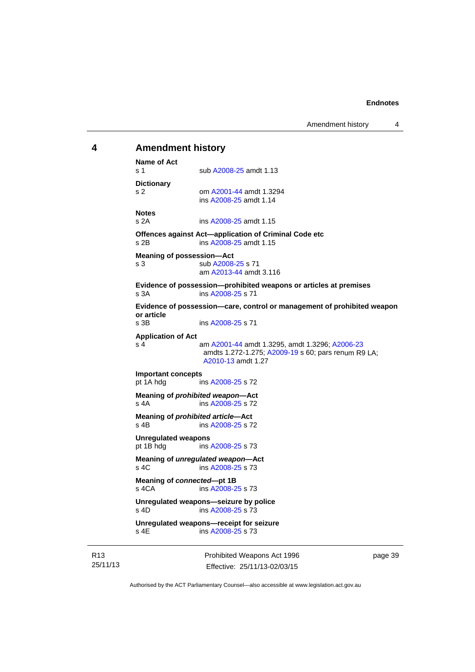### <span id="page-44-0"></span>**4 Amendment history Name of Act**

s 1 sub [A2008-25](http://www.legislation.act.gov.au/a/2008-25) amdt 1.13 **Dictionary**  s 2 om [A2001-44](http://www.legislation.act.gov.au/a/2001-44) amdt 1.3294 ins [A2008-25](http://www.legislation.act.gov.au/a/2008-25) amdt 1.14 **Notes**  s 2A ins [A2008-25](http://www.legislation.act.gov.au/a/2008-25) amdt 1.15 **Offences against Act—application of Criminal Code etc**  s 2B ins [A2008-25](http://www.legislation.act.gov.au/a/2008-25) amdt 1.15 **Meaning of possession—Act**  s 3 sub [A2008-25](http://www.legislation.act.gov.au/a/2008-25) s 71 am [A2013-44](http://www.legislation.act.gov.au/a/2013-44) amdt 3.116 **Evidence of possession—prohibited weapons or articles at premises**  s 3A ins [A2008-25](http://www.legislation.act.gov.au/a/2008-25) s 71 **Evidence of possession—care, control or management of prohibited weapon or article**  ins [A2008-25](http://www.legislation.act.gov.au/a/2008-25) s 71 **Application of Act**  s 4 am [A2001-44](http://www.legislation.act.gov.au/a/2001-44) amdt 1.3295, amdt 1.3296; [A2006-23](http://www.legislation.act.gov.au/a/2006-23) amdts 1.272-1.275; [A2009-19](http://www.legislation.act.gov.au/a/2009-19) s 60; pars renum R9 LA; [A2010-13](http://www.legislation.act.gov.au/a/2010-13) amdt 1.27 **Important concepts**  ins [A2008-25](http://www.legislation.act.gov.au/a/2008-25) s 72 **Meaning of** *prohibited weapon***—Act**  s 4A ins [A2008-25](http://www.legislation.act.gov.au/a/2008-25) s 72 **Meaning of** *prohibited article***—Act**  s 4B ins [A2008-25](http://www.legislation.act.gov.au/a/2008-25) s 72 **Unregulated weapons**  pt 1B hdg ins [A2008-25](http://www.legislation.act.gov.au/a/2008-25) s 73 **Meaning of** *unregulated weapon***—Act**  s 4C ins [A2008-25](http://www.legislation.act.gov.au/a/2008-25) s 73 **Meaning of** *connected***—pt 1B**  s 4CA ins [A2008-25](http://www.legislation.act.gov.au/a/2008-25) s 73 **Unregulated weapons—seizure by police**  s 4D ins [A2008-25](http://www.legislation.act.gov.au/a/2008-25) s 73 **Unregulated weapons—receipt for seizure**  ins  $A2008-25$  s 73

R13 25/11/13 Prohibited Weapons Act 1996 Effective: 25/11/13-02/03/15

page 39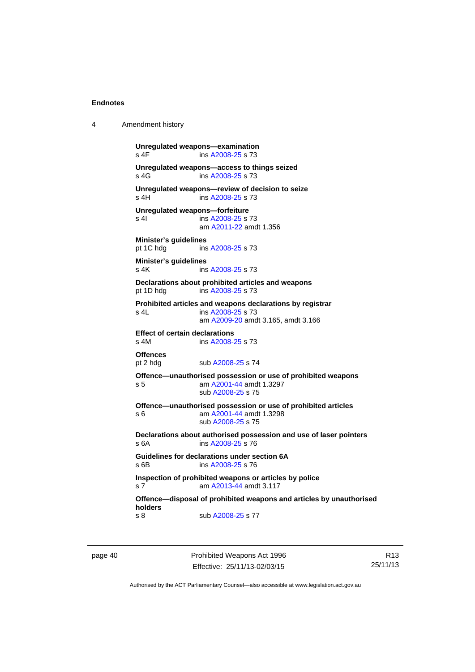```
4 Amendment history 
Unregulated weapons—examination 
A2008-25 s 73
Unregulated weapons—access to things seized 
A2008-25 s 73
Unregulated weapons—review of decision to seize 
 A2008-25 s 73
Unregulated weapons—forfeiture 
A2008-25 s 73
                am A2011-22 amdt 1.356
Minister's guidelines 
 A2008-25 s 73
Minister's guidelines 
A2008-25 s 73
Declarations about prohibited articles and weapons 
pt 1D hdg ins A2008-25 s 73 
Prohibited articles and weapons declarations by registrar 
s 4L ins A2008-25 s 73 
                am A2009-20 amdt 3.165, amdt 3.166 
Effect of certain declarations 
s 4M ins A2008-25 s 73 
Offences<br>pt 2 hdg
               A2008-25 s 74
Offence—unauthorised possession or use of prohibited weapons 
s 5 am A2001-44 amdt 1.3297 
                sub A2008-25 s 75 
Offence—unauthorised possession or use of prohibited articles 
s 6 am A2001-44 amdt 1.3298 
                sub A2008-25 s 75 
Declarations about authorised possession and use of laser pointers 
s 6A ins A2008-25 s 76 
Guidelines for declarations under section 6A 
s 6B ins A2008-25 s 76 
Inspection of prohibited weapons or articles by police 
s 7 am A2013-44 amdt 3.117
Offence—disposal of prohibited weapons and articles by unauthorised 
holders 
A2008-25 s 77
```
page 40 **Prohibited Weapons Act 1996** Effective: 25/11/13-02/03/15

R13 25/11/13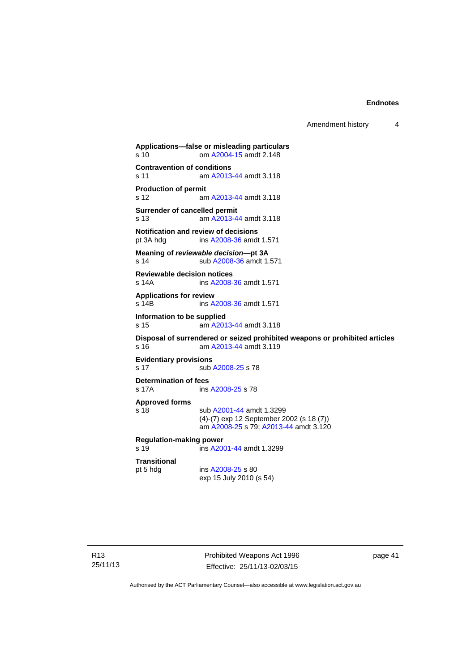Amendment history 4

**Applications—false or misleading particulars**  s 10 om [A2004-15](http://www.legislation.act.gov.au/a/2004-15) amdt 2.148 **Contravention of conditions**  s 11 am [A2013-44](http://www.legislation.act.gov.au/a/2013-44) amdt 3.118 **Production of permit**  s 12 am [A2013-44](http://www.legislation.act.gov.au/a/2013-44) amdt 3.118 **Surrender of cancelled permit**  s 13 am [A2013-44](http://www.legislation.act.gov.au/a/2013-44) amdt 3.118 **Notification and review of decisions**<br>pt 3A hdg ins A2008-36 amdt ins [A2008-36](http://www.legislation.act.gov.au/a/2008-36) amdt 1.571 **Meaning of** *reviewable decision—***pt 3A**  s 14 sub [A2008-36](http://www.legislation.act.gov.au/a/2008-36) amdt 1.571 **Reviewable decision notices**  s 14A ins [A2008-36](http://www.legislation.act.gov.au/a/2008-36) amdt 1.571 **Applications for review**  s 14B ins [A2008-36](http://www.legislation.act.gov.au/a/2008-36) amdt 1.571 **Information to be supplied**  s 15 am [A2013-44](http://www.legislation.act.gov.au/a/2013-44) amdt 3.118 **Disposal of surrendered or seized prohibited weapons or prohibited articles**  s 16 am [A2013-44](http://www.legislation.act.gov.au/a/2013-44) amdt 3.119 **Evidentiary provisions**  s 17 sub [A2008-25](http://www.legislation.act.gov.au/a/2008-25) s 78 **Determination of fees**  s 17A ins [A2008-25](http://www.legislation.act.gov.au/a/2008-25) s 78 **Approved forms**  s 18 sub [A2001-44](http://www.legislation.act.gov.au/a/2001-44) amdt 1.3299 (4)-(7) exp 12 September 2002 (s 18 (7)) am [A2008-25](http://www.legislation.act.gov.au/a/2008-25) s 79; [A2013-44](http://www.legislation.act.gov.au/a/2013-44) amdt 3.120 **Regulation-making power**  s 19 ins [A2001-44](http://www.legislation.act.gov.au/a/2001-44) amdt 1.3299 **Transitional**  pt 5 hdg ins [A2008-25](http://www.legislation.act.gov.au/a/2008-25) s 80 exp 15 July 2010 (s 54)

Prohibited Weapons Act 1996 Effective: 25/11/13-02/03/15

page 41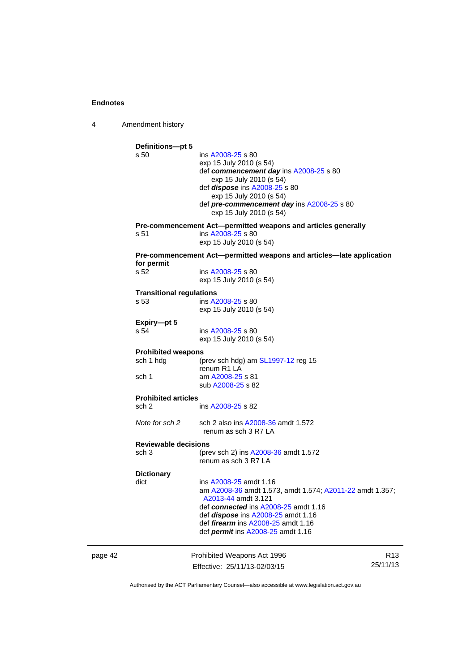4 Amendment history

|         | Definitions-pt 5<br>s 50<br>s 51                              | ins A2008-25 s 80<br>exp 15 July 2010 (s 54)<br>def commencement day ins A2008-25 s 80<br>exp 15 July 2010 (s 54)<br>def <i>dispose</i> ins A2008-25 s 80<br>exp 15 July 2010 (s 54)<br>def pre-commencement day ins A2008-25 s 80<br>exp 15 July 2010 (s 54)<br>Pre-commencement Act-permitted weapons and articles generally<br>ins A2008-25 s 80<br>exp 15 July 2010 (s 54) |                             |
|---------|---------------------------------------------------------------|--------------------------------------------------------------------------------------------------------------------------------------------------------------------------------------------------------------------------------------------------------------------------------------------------------------------------------------------------------------------------------|-----------------------------|
|         | for permit<br>s 52<br><b>Transitional regulations</b><br>s 53 | Pre-commencement Act—permitted weapons and articles—late application<br>ins A2008-25 s 80<br>exp 15 July 2010 (s 54)<br>ins A2008-25 s 80                                                                                                                                                                                                                                      |                             |
|         | Expiry-pt 5<br>s 54                                           | exp 15 July 2010 (s 54)<br>ins A2008-25 s 80                                                                                                                                                                                                                                                                                                                                   |                             |
|         | <b>Prohibited weapons</b><br>sch 1 hdg<br>sch 1               | exp 15 July 2010 (s 54)<br>(prev sch hdg) am $SL1997-12$ reg 15<br>renum R1 LA<br>am A2008-25 s 81<br>sub A2008-25 s 82                                                                                                                                                                                                                                                        |                             |
|         | <b>Prohibited articles</b><br>sch 2                           | ins A2008-25 s 82                                                                                                                                                                                                                                                                                                                                                              |                             |
|         | Note for sch 2                                                | sch 2 also ins A2008-36 amdt 1.572<br>renum as sch 3 R7 LA                                                                                                                                                                                                                                                                                                                     |                             |
|         | <b>Reviewable decisions</b><br>sch 3                          | (prev sch 2) ins A2008-36 amdt 1.572<br>renum as sch 3 R7 LA                                                                                                                                                                                                                                                                                                                   |                             |
|         | <b>Dictionary</b><br>dict                                     | ins A2008-25 amdt 1.16<br>am A2008-36 amdt 1.573, amdt 1.574; A2011-22 amdt 1.357;<br>A2013-44 amdt 3.121<br>def connected ins A2008-25 amdt 1.16<br>def <i>dispose</i> ins A2008-25 amdt 1.16<br>def <i>firearm</i> ins A2008-25 amdt 1.16<br>def <i>permit</i> ins A2008-25 amdt 1.16                                                                                        |                             |
| page 42 |                                                               | Prohibited Weapons Act 1996<br>Effective: 25/11/13-02/03/15                                                                                                                                                                                                                                                                                                                    | R <sub>13</sub><br>25/11/13 |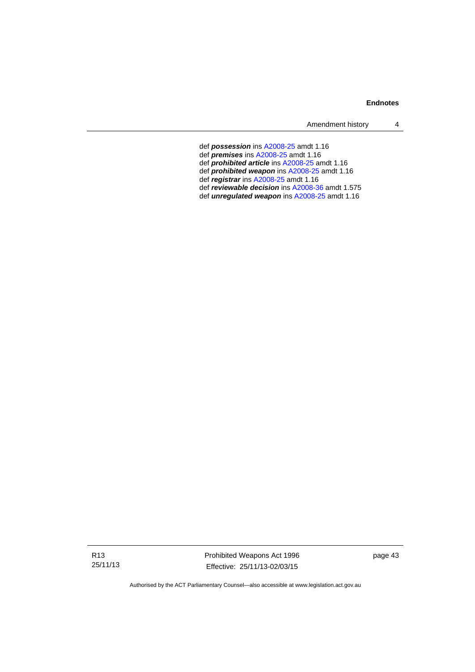Amendment history 4

- def *possession* ins [A2008-25](http://www.legislation.act.gov.au/a/2008-25) amdt 1.16
- def *premises* ins [A2008-25](http://www.legislation.act.gov.au/a/2008-25) amdt 1.16
- def *prohibited article* ins [A2008-25](http://www.legislation.act.gov.au/a/2008-25) amdt 1.16
- def *prohibited weapon* ins [A2008-25](http://www.legislation.act.gov.au/a/2008-25) amdt 1.16
- def *registrar* ins [A2008-25](http://www.legislation.act.gov.au/a/2008-25) amdt 1.16
- def *reviewable decision* ins [A2008-36](http://www.legislation.act.gov.au/a/2008-36) amdt 1.575
- def *unregulated weapon* ins [A2008-25](http://www.legislation.act.gov.au/a/2008-25) amdt 1.16

page 43

Prohibited Weapons Act 1996 Effective: 25/11/13-02/03/15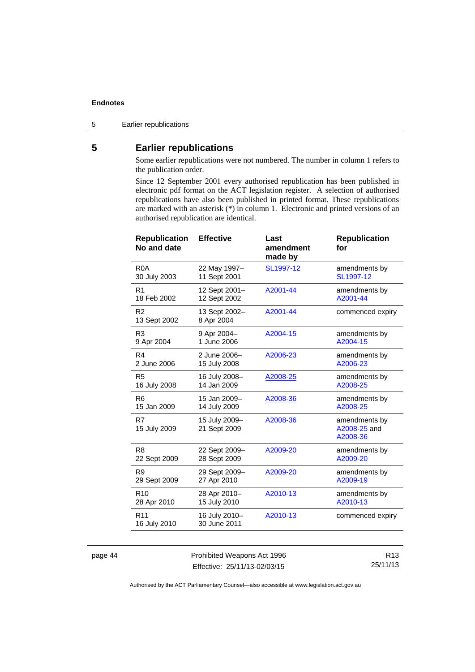5 Earlier republications

## <span id="page-49-0"></span>**5 Earlier republications**

Some earlier republications were not numbered. The number in column 1 refers to the publication order.

Since 12 September 2001 every authorised republication has been published in electronic pdf format on the ACT legislation register. A selection of authorised republications have also been published in printed format. These republications are marked with an asterisk (\*) in column 1. Electronic and printed versions of an authorised republication are identical.

| <b>Republication</b><br>No and date | <b>Effective</b>              | Last<br>amendment<br>made by | <b>Republication</b><br>for               |
|-------------------------------------|-------------------------------|------------------------------|-------------------------------------------|
| R <sub>0</sub> A                    | 22 May 1997-                  | SL1997-12                    | amendments by                             |
| 30 July 2003                        | 11 Sept 2001                  |                              | SL1997-12                                 |
| R1                                  | 12 Sept 2001-                 | A2001-44                     | amendments by                             |
| 18 Feb 2002                         | 12 Sept 2002                  |                              | A2001-44                                  |
| R <sub>2</sub><br>13 Sept 2002      | 13 Sept 2002-<br>8 Apr 2004   | A2001-44                     | commenced expiry                          |
| R <sub>3</sub>                      | 9 Apr 2004-                   | A2004-15                     | amendments by                             |
| 9 Apr 2004                          | 1 June 2006                   |                              | A2004-15                                  |
| R4                                  | 2 June 2006-                  | A2006-23                     | amendments by                             |
| 2 June 2006                         | 15 July 2008                  |                              | A2006-23                                  |
| R <sub>5</sub>                      | 16 July 2008-                 | A2008-25                     | amendments by                             |
| 16 July 2008                        | 14 Jan 2009                   |                              | A2008-25                                  |
| R <sub>6</sub>                      | 15 Jan 2009-                  | A2008-36                     | amendments by                             |
| 15 Jan 2009                         | 14 July 2009                  |                              | A2008-25                                  |
| R7<br>15 July 2009                  | 15 July 2009-<br>21 Sept 2009 | A2008-36                     | amendments by<br>A2008-25 and<br>A2008-36 |
| R <sub>8</sub>                      | 22 Sept 2009-                 | A2009-20                     | amendments by                             |
| 22 Sept 2009                        | 28 Sept 2009                  |                              | A2009-20                                  |
| R9                                  | 29 Sept 2009-                 | A2009-20                     | amendments by                             |
| 29 Sept 2009                        | 27 Apr 2010                   |                              | A2009-19                                  |
| R <sub>10</sub>                     | 28 Apr 2010-                  | A2010-13                     | amendments by                             |
| 28 Apr 2010                         | 15 July 2010                  |                              | A2010-13                                  |
| R <sub>11</sub><br>16 July 2010     | 16 July 2010-<br>30 June 2011 | A2010-13                     | commenced expiry                          |

page 44 Prohibited Weapons Act 1996 Effective: 25/11/13-02/03/15

R13 25/11/13